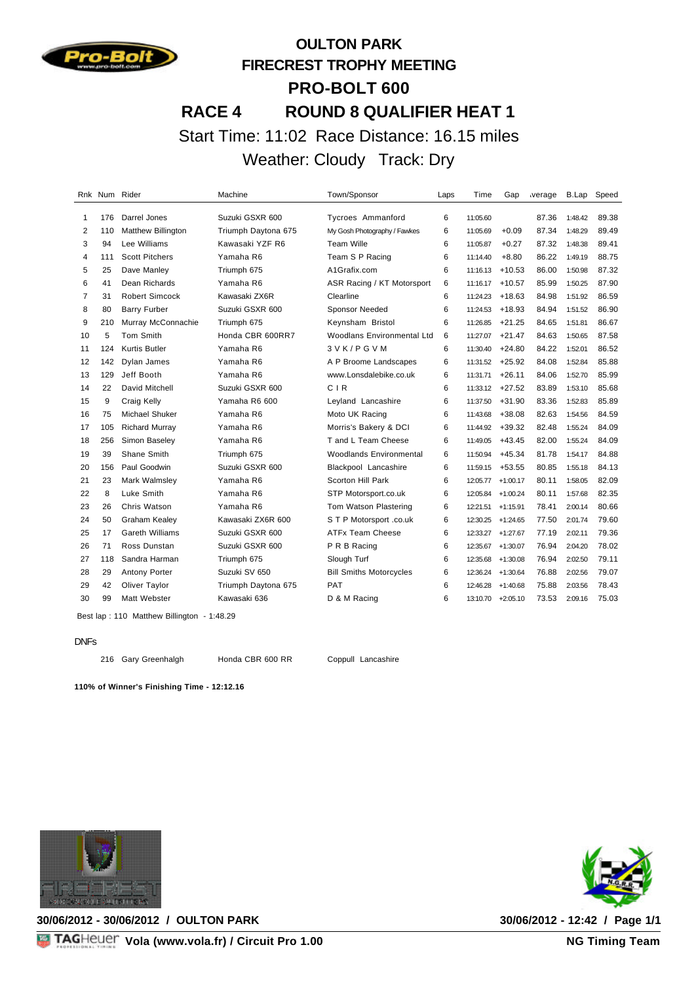

# **OULTON PARK FIRECREST TROPHY MEETING PRO-BOLT 600 RACE 4 ROUND 8 QUALIFIER HEAT 1** Start Time: 11:02 Race Distance: 16.15 miles Weather: Cloudy Track: Dry

| Rnk            |     | Num Rider                 | Machine             | Town/Sponsor                      | Laps | Time     | Gap        | verage | B.Lap   | Speed |
|----------------|-----|---------------------------|---------------------|-----------------------------------|------|----------|------------|--------|---------|-------|
| 1              | 176 | Darrel Jones              | Suzuki GSXR 600     | <b>Tycroes Ammanford</b>          | 6    | 11:05.60 |            | 87.36  | 1:48.42 | 89.38 |
| 2              | 110 | <b>Matthew Billington</b> | Triumph Daytona 675 | My Gosh Photography / Fawkes      | 6    | 11:05.69 | $+0.09$    | 87.34  | 1:48.29 | 89.49 |
| 3              | 94  | Lee Williams              | Kawasaki YZF R6     | <b>Team Wille</b>                 | 6    | 11:05.87 | $+0.27$    | 87.32  | 1:48.38 | 89.41 |
| 4              | 111 | <b>Scott Pitchers</b>     | Yamaha R6           | Team S P Racing                   | 6    | 11:14.40 | $+8.80$    | 86.22  | 1:49.19 | 88.75 |
| 5              | 25  | Dave Manley               | Triumph 675         | A1Grafix.com                      | 6    | 11:16.13 | $+10.53$   | 86.00  | 1:50.98 | 87.32 |
| 6              | 41  | Dean Richards             | Yamaha R6           | ASR Racing / KT Motorsport        | 6    | 11:16.17 | $+10.57$   | 85.99  | 1:50.25 | 87.90 |
| $\overline{7}$ | 31  | <b>Robert Simcock</b>     | Kawasaki ZX6R       | Clearline                         | 6    | 11:24.23 | $+18.63$   | 84.98  | 1:51.92 | 86.59 |
| 8              | 80  | <b>Barry Furber</b>       | Suzuki GSXR 600     | <b>Sponsor Needed</b>             | 6    | 11:24.53 | $+18.93$   | 84.94  | 1:51.52 | 86.90 |
| 9              | 210 | Murray McConnachie        | Triumph 675         | Keynsham Bristol                  | 6    | 11:26.85 | $+21.25$   | 84.65  | 1:51.81 | 86.67 |
| 10             | 5   | Tom Smith                 | Honda CBR 600RR7    | <b>Woodlans Environmental Ltd</b> | 6    | 11:27.07 | $+21.47$   | 84.63  | 1:50.65 | 87.58 |
| 11             | 124 | <b>Kurtis Butler</b>      | Yamaha R6           | 3 V K / P G V M                   | 6    | 11:30.40 | $+24.80$   | 84.22  | 1:52.01 | 86.52 |
| 12             | 142 | Dylan James               | Yamaha R6           | A P Broome Landscapes             | 6    | 11:31.52 | $+25.92$   | 84.08  | 1:52.84 | 85.88 |
| 13             | 129 | Jeff Booth                | Yamaha R6           | www.Lonsdalebike.co.uk            | 6    | 11:31.71 | $+26.11$   | 84.06  | 1:52.70 | 85.99 |
| 14             | 22  | David Mitchell            | Suzuki GSXR 600     | CIR                               | 6    | 11:33.12 | $+27.52$   | 83.89  | 1:53.10 | 85.68 |
| 15             | 9   | Craig Kelly               | Yamaha R6 600       | Leyland Lancashire                | 6    | 11:37.50 | $+31.90$   | 83.36  | 1:52.83 | 85.89 |
| 16             | 75  | Michael Shuker            | Yamaha R6           | Moto UK Racing                    | 6    | 11:43.68 | $+38.08$   | 82.63  | 1:54.56 | 84.59 |
| 17             | 105 | <b>Richard Murray</b>     | Yamaha R6           | Morris's Bakery & DCI             | 6    | 11:44.92 | $+39.32$   | 82.48  | 1:55.24 | 84.09 |
| 18             | 256 | Simon Baseley             | Yamaha R6           | T and L Team Cheese               | 6    | 11:49.05 | $+43.45$   | 82.00  | 1:55.24 | 84.09 |
| 19             | 39  | Shane Smith               | Triumph 675         | Woodlands Environmental           | 6    | 11:50.94 | $+45.34$   | 81.78  | 1:54.17 | 84.88 |
| 20             | 156 | Paul Goodwin              | Suzuki GSXR 600     | Blackpool Lancashire              | 6    | 11:59.15 | $+53.55$   | 80.85  | 1:55.18 | 84.13 |
| 21             | 23  | Mark Walmsley             | Yamaha R6           | Scorton Hill Park                 | 6    | 12:05.77 | $+1:00.17$ | 80.11  | 1:58.05 | 82.09 |
| 22             | 8   | Luke Smith                | Yamaha R6           | STP Motorsport.co.uk              | 6    | 12:05.84 | $+1:00.24$ | 80.11  | 1:57.68 | 82.35 |
| 23             | 26  | Chris Watson              | Yamaha R6           | Tom Watson Plastering             | 6    | 12:21.51 | $+1:15.91$ | 78.41  | 2:00.14 | 80.66 |
| 24             | 50  | Graham Kealey             | Kawasaki ZX6R 600   | S T P Motorsport .co.uk           | 6    | 12:30.25 | $+1:24.65$ | 77.50  | 2:01.74 | 79.60 |
| 25             | 17  | <b>Gareth Williams</b>    | Suzuki GSXR 600     | ATFx Team Cheese                  | 6    | 12:33.27 | $+1:27.67$ | 77.19  | 2:02.11 | 79.36 |
| 26             | 71  | Ross Dunstan              | Suzuki GSXR 600     | P R B Racing                      | 6    | 12:35.67 | $+1:30.07$ | 76.94  | 2:04.20 | 78.02 |
| 27             | 118 | Sandra Harman             | Triumph 675         | Slough Turf                       | 6    | 12:35.68 | $+1:30.08$ | 76.94  | 2:02.50 | 79.11 |
| 28             | 29  | Antony Porter             | Suzuki SV 650       | <b>Bill Smiths Motorcycles</b>    | 6    | 12:36.24 | $+1:30.64$ | 76.88  | 2:02.56 | 79.07 |
| 29             | 42  | Oliver Taylor             | Triumph Daytona 675 | PAT                               | 6    | 12:46.28 | $+1:40.68$ | 75.88  | 2:03.56 | 78.43 |
| 30             | 99  | <b>Matt Webster</b>       | Kawasaki 636        | D & M Racing                      | 6    | 13:10.70 | $+2:05.10$ | 73.53  | 2:09.16 | 75.03 |
|                |     |                           |                     |                                   |      |          |            |        |         |       |

Best lap : 110 Matthew Billington - 1:48.29

#### DNFs

Gary Greenhalgh Honda CBR 600 RR Coppull Lancashire

**110% of Winner's Finishing Time - 12:12.16**



**30/06/2012 - 30/06/2012 / OULTON PARK 30/06/2012 - 12:42 / Page 1/1**

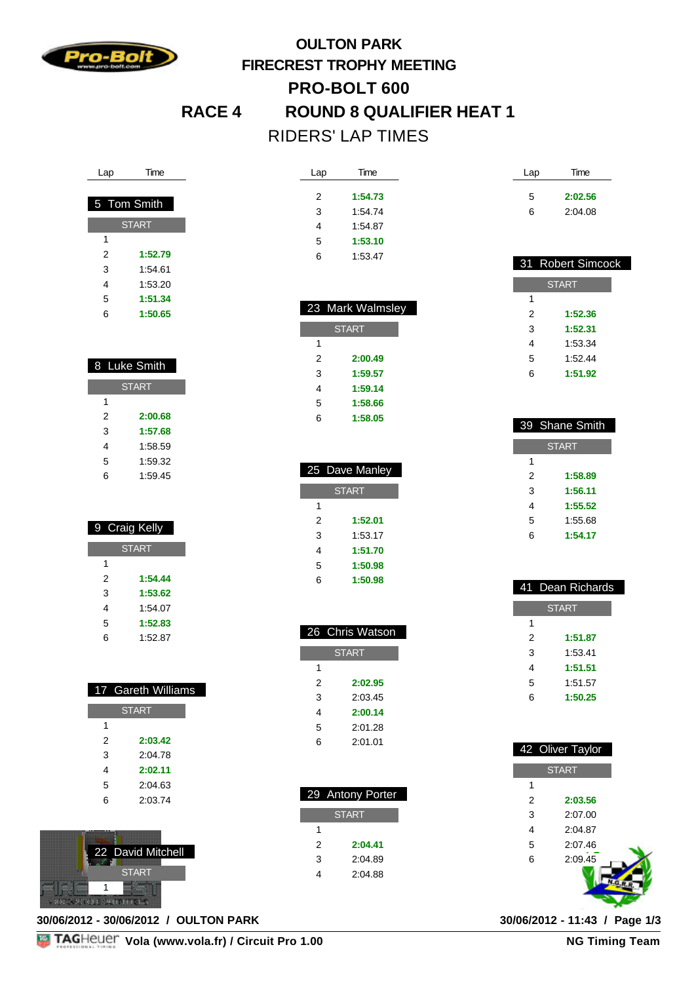

### **OULTON PARK FIRECREST TROPHY MEETING PRO-BOLT 600 RACE 4 ROUND 8 QUALIFIER HEAT 1** RIDERS' LAP TIMES

Lap Time

 **1:54.73** 1:54.74 1:54.87 **1:53.10** 1:53.47

| Lap         | Time         |  |
|-------------|--------------|--|
|             |              |  |
| 5 Tom Smith |              |  |
|             | <b>START</b> |  |
| 1           |              |  |
| 2           | 1:52.79      |  |
| 3           | 1:54.61      |  |
| 4           | 1:53.20      |  |
| 5           | 1:51.34      |  |
| 6           | 1:50.65      |  |

| 8 Luke Smith |         |  |
|--------------|---------|--|
| <b>START</b> |         |  |
| 1            |         |  |
| 2            | 2:00.68 |  |
| 3            | 1:57.68 |  |
| 4            | 1:58.59 |  |
| 5            | 1:59.32 |  |
| 6            | 1:59.45 |  |

| 9 Craig Kelly |         |  |
|---------------|---------|--|
| <b>START</b>  |         |  |
| 1             |         |  |
| 2             | 1:54.44 |  |
| 3             | 1:53.62 |  |
| 4             | 1:54.07 |  |
| 5             | 1:52.83 |  |
| 6             | 1:52.87 |  |

|   | 17 Gareth Williams |
|---|--------------------|
|   | <b>START</b>       |
|   |                    |
| 1 |                    |
| 2 | 2:03.42            |
| 3 | 2:04.78            |
| 4 | 2:02.11            |
| 5 | 2:04.63            |
| հ | 2:03.74            |
|   |                    |



**30/06/2012 - 30/06/2012 / OULTON PARK 30/06/2012 - 11:43 / Page 1/3**

|   | 23 Mark Walmsley |
|---|------------------|
|   | <b>START</b>     |
| 1 |                  |
| 2 | 2:00.49          |
| 3 | 1:59.57          |
| 4 | 1:59.14          |
| 5 | 1:58.66          |
| 6 | 1:58.05          |

I

|              | 25 Dave Manley |  |
|--------------|----------------|--|
| <b>START</b> |                |  |
| 1            |                |  |
| 2            | 1:52.01        |  |
| 3            | 1:53.17        |  |
| 4            | 1:51.70        |  |
| 5            | 1:50.98        |  |
| 6            | 1:50.98        |  |

|   | 26 Chris Watson |
|---|-----------------|
|   | <b>START</b>    |
| 1 |                 |
| 2 | 2:02.95         |
| 3 | 2:03.45         |
| 4 | 2:00.14         |
| 5 | 2:01.28         |
| 6 | 2:01.01         |
|   |                 |

|   | 29 Antony Porter |
|---|------------------|
|   | <b>START</b>     |
| 1 |                  |
| 2 | 2:04.41          |
| 3 | 2:04.89          |
|   | 2:04.88          |

| Lap | Time    |
|-----|---------|
| 5   | 2:02.56 |
| 6   | 2:04.08 |

|              | 31 Robert Simcock |  |  |
|--------------|-------------------|--|--|
| <b>START</b> |                   |  |  |
| 1            |                   |  |  |
| 2            | 1:52.36           |  |  |
| 3            | 1:52.31           |  |  |
| 4            | 1:53.34           |  |  |
| 5            | 1:52.44           |  |  |
| 6            | 1:51.92           |  |  |

|              | 39 Shane Smith |  |
|--------------|----------------|--|
| <b>START</b> |                |  |
| 1            |                |  |
| 2            | 1:58.89        |  |
| 3            | 1:56.11        |  |
| 4            | 1:55.52        |  |
| 5            | 1:55.68        |  |
| հ            | 1:54.17        |  |
|              |                |  |

|              | Dean Richards |  |
|--------------|---------------|--|
| <b>START</b> |               |  |
| 1            |               |  |
| 2            | 1:51.87       |  |
| 3            | 1:53.41       |  |
| 4            | 1:51.51       |  |
| 5            | 1:51.57       |  |
| 6            | 1:50.25       |  |
|              |               |  |

| 42 Oliver Taylor |              |  |
|------------------|--------------|--|
|                  | <b>START</b> |  |
| 1                |              |  |
| $\overline{2}$   | 2:03.56      |  |
| 3                | 2:07.00      |  |
| 4                | 2:04.87      |  |
| 5                | 2:07.46      |  |
| 6                | 2:09.45      |  |
|                  |              |  |

**Vola (www.vola.fr) / Circuit Pro 1.00**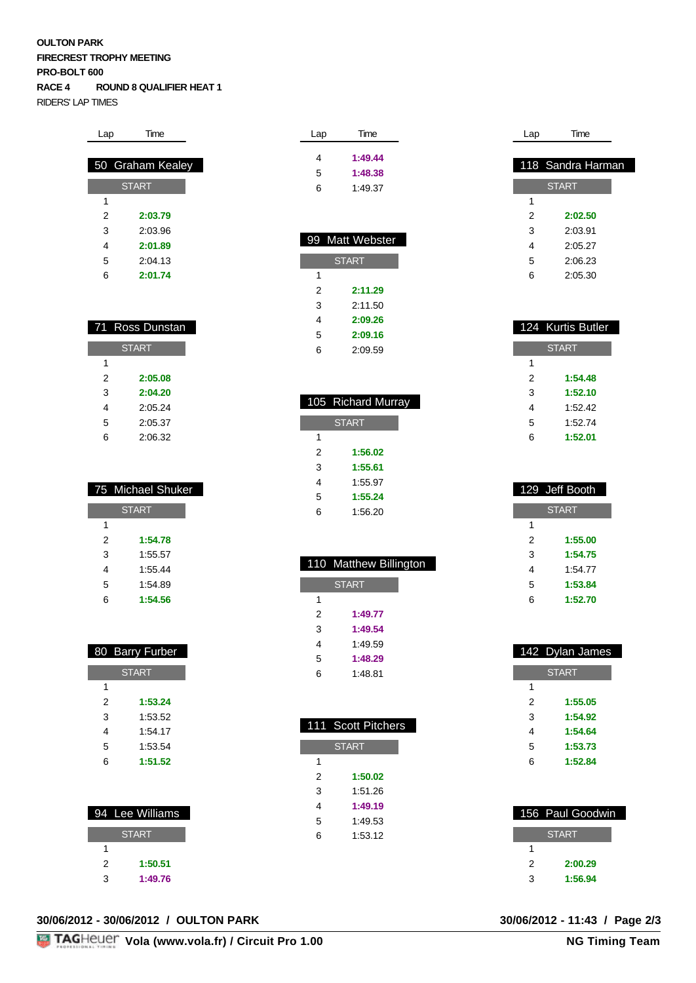#### **OULTON PARK FIRECREST TROPHY MEETING PRO-BOLT 600 RACE 4 ROUND 8 QUALIFIER HEAT 1** RIDERS' LAP TIMES

| Time             |  |  |
|------------------|--|--|
|                  |  |  |
| 50 Graham Kealey |  |  |
| <b>START</b>     |  |  |
|                  |  |  |
| 2:03.79          |  |  |
| 2:03.96          |  |  |
| 2:01.89          |  |  |
| 2:04.13          |  |  |
| 2:01.74          |  |  |
|                  |  |  |

|              | 71 Ross Dunstan |  |
|--------------|-----------------|--|
| <b>START</b> |                 |  |
| 1            |                 |  |
| 2            | 2:05.08         |  |
| 3            | 2:04.20         |  |
| 4            | 2:05.24         |  |
| 5            | 2:05.37         |  |
| հ            | 2:06.32         |  |

|              | 75 Michael Shuker |
|--------------|-------------------|
| <b>START</b> |                   |
| 1            |                   |
| 2            | 1:54.78           |
| 3            | 1:55.57           |
| 4            | 1:55.44           |
| 5            | 1:54.89           |
| 6            | 1:54.56           |

|              | 80 Barry Furber |
|--------------|-----------------|
| <b>START</b> |                 |
| 1            |                 |
| 2            | 1:53.24         |
| 3            | 1:53.52         |
| 4            | 1:54.17         |
| 5            | 1:53.54         |
| հ            | 1:51.52         |

|              | 94 Lee Williams |  |
|--------------|-----------------|--|
| <b>START</b> |                 |  |
|              |                 |  |
| 2            | 1:50.51         |  |
| 3            | 1:49.76         |  |

#### **30/06/2012 - 30/06/2012 / OULTON PARK 30/06/2012 - 11:43 / Page 2/3**



| Lap | Time    |
|-----|---------|
| 4   | 1:49.44 |
| 5   | 1:48.38 |
| 6   | 1:49.37 |
|     |         |

|              | 99 Matt Webster |
|--------------|-----------------|
| <b>START</b> |                 |
| 1            |                 |
| 2            | 2:11.29         |
| 3            | 2:11.50         |
| 4            | 2:09.26         |
| 5            | 2:09.16         |
| ĥ            | 2:09.59         |

|              | 105 Richard Murray |  |
|--------------|--------------------|--|
| <b>START</b> |                    |  |
| 1            |                    |  |
| 2            | 1:56.02            |  |
| 3            | 1:55.61            |  |
| 4            | 1:55.97            |  |
| 5            | 1:55.24            |  |
| 6            | 1:56.20            |  |

|              | 110 Matthew Billington |
|--------------|------------------------|
| <b>START</b> |                        |
| 1            |                        |
| 2            | 1:49.77                |
| 3            | 1:49.54                |
| 4            | 1:49.59                |
| 5            | 1:48.29                |
| հ            | 1:48.81                |

| 111          | <b>Scott Pitchers</b> |  |
|--------------|-----------------------|--|
| <b>START</b> |                       |  |
| 1            |                       |  |
| 2            | 1:50.02               |  |
| 3            | 1:51.26               |  |
| 4            | 1:49.19               |  |
| 5            | 1:49.53               |  |
| 6            | 1:53.12               |  |
|              |                       |  |
|              |                       |  |

| Lap | Time              |
|-----|-------------------|
|     |                   |
|     | 118 Sandra Harman |
|     | <b>START</b>      |
| 1   |                   |
| 2   | 2:02.50           |
| 3   | 2:03.91           |
| 4   | 2:05.27           |
| 5   | 2:06.23           |
| 6   | 2:05.30           |
|     |                   |

|   | 124 Kurtis Butler |
|---|-------------------|
|   | <b>START</b>      |
| 1 |                   |
| 2 | 1:54.48           |
| 3 | 1:52.10           |
| 4 | 1:52.42           |
| 5 | 1:52.74           |
| 6 | 1:52.01           |
|   |                   |

| 129 Jeff Booth |
|----------------|
| <b>START</b>   |
|                |
| 1:55.00        |
| 1:54.75        |
| 1:54.77        |
| 1:53.84        |
| 1:52.70        |
|                |

|   | 142 Dylan James |
|---|-----------------|
|   | <b>START</b>    |
| 1 |                 |
| 2 | 1:55.05         |
| 3 | 1:54.92         |
| 4 | 1:54.64         |
| 5 | 1:53.73         |
| 6 | 1:52.84         |
|   |                 |

|   | 156 Paul Goodwin |
|---|------------------|
|   | <b>START</b>     |
|   |                  |
| 2 | 2:00.29          |
| 3 | 1:56.94          |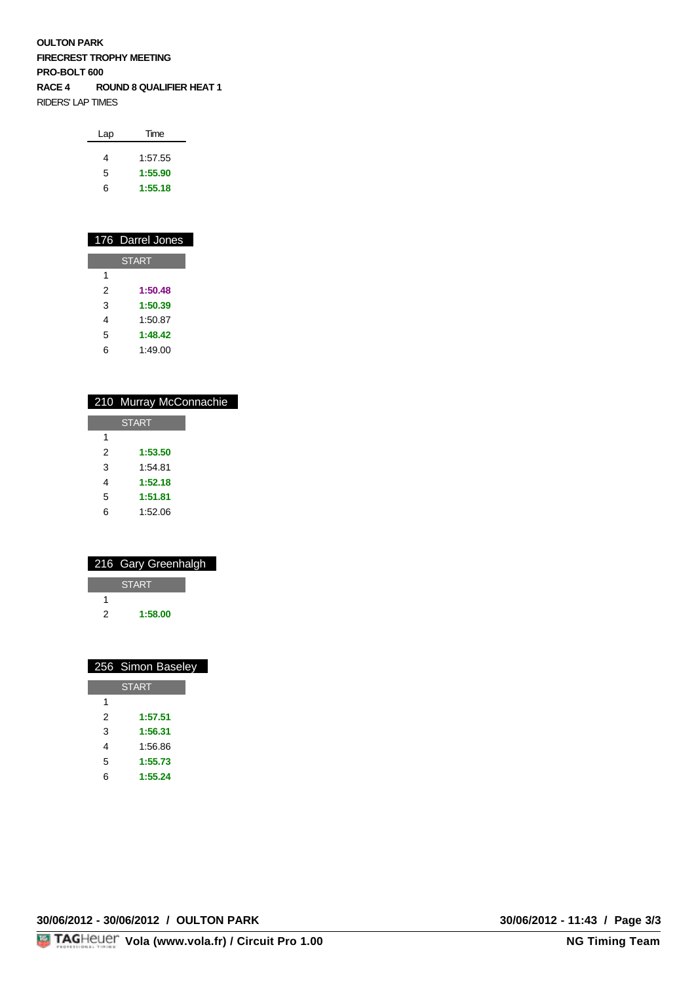**OULTON PARK FIRECREST TROPHY MEETING PRO-BOLT 600 RACE 4 ROUND 8 QUALIFIER HEAT 1** RIDERS' LAP TIMES

| Lap | Time    |  |
|-----|---------|--|
| 4   | 1:57.55 |  |
|     |         |  |
| 5   | 1:55.90 |  |
| ี   | 1:55.18 |  |

|              | 176 Darrel Jones |  |  |  |  |  |  |  |  |  |  |
|--------------|------------------|--|--|--|--|--|--|--|--|--|--|
| <b>START</b> |                  |  |  |  |  |  |  |  |  |  |  |
| 1            |                  |  |  |  |  |  |  |  |  |  |  |
| 2            | 1:50.48          |  |  |  |  |  |  |  |  |  |  |
| 3            | 1:50.39          |  |  |  |  |  |  |  |  |  |  |
| 4            | 1:50.87          |  |  |  |  |  |  |  |  |  |  |
| 5            | 1:48.42          |  |  |  |  |  |  |  |  |  |  |
| հ            | 1:49.00          |  |  |  |  |  |  |  |  |  |  |

|   | 210 Murray McConnachie |
|---|------------------------|
|   |                        |
|   | <b>START</b>           |
| 1 |                        |
| 2 | 1:53.50                |
| 3 | 1:54.81                |
| 4 | 1:52.18                |
| 5 | 1:51.81                |
| 6 | 1:52.06                |
|   |                        |

|   | 216 Gary Greenhalgh |
|---|---------------------|
|   | <b>START</b>        |
|   |                     |
| 2 | 1:58.00             |
|   |                     |

|   | 256 Simon Baseley |
|---|-------------------|
|   | <b>START</b>      |
| 1 |                   |
| 2 | 1:57.51           |
| 3 | 1:56.31           |
| 4 | 1:56.86           |
| 5 | 1:55.73           |
| 6 | 1:55.24           |

**30/06/2012 - 30/06/2012 / OULTON PARK 30/06/2012 - 11:43 / Page 3/3**

30/06/2012 - 11:43 / Page 3/3<br>NG Timing Team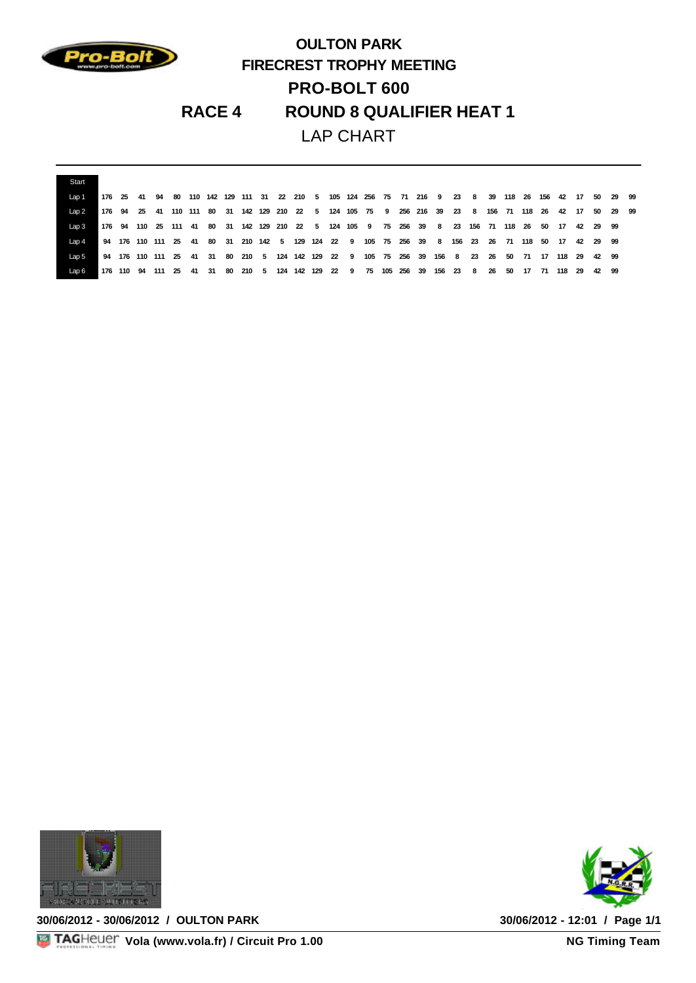

## **OULTON PARK FIRECREST TROPHY MEETING PRO-BOLT 600 RACE 4 ROUND 8 QUALIFIER HEAT 1** LAP CHART

| Start    |  |  |                 |  |  |  |  |  |  |                                                                        |  |         |  |    |                                                                                                       |  |  |
|----------|--|--|-----------------|--|--|--|--|--|--|------------------------------------------------------------------------|--|---------|--|----|-------------------------------------------------------------------------------------------------------|--|--|
| Lap1     |  |  | 176 25 41 94 80 |  |  |  |  |  |  |                                                                        |  |         |  |    | 110 142 129 111 31 22 210 5 105 124 256 75 71 216 9 23 8 39 118 26 156 42 17 50 29 99                 |  |  |
| Lap 2    |  |  |                 |  |  |  |  |  |  |                                                                        |  |         |  |    | 176 94 25 41 110 111 80 31 142 129 210 22 5 124 105 75 9 256 216 39 23 8 156 71 118 26 42 17 50 29 99 |  |  |
| $L$ ap 3 |  |  |                 |  |  |  |  |  |  |                                                                        |  |         |  |    | 176 94 110 25 111 41 80 31 142 129 210 22 5 124 105 9 75 256 39 8 23 156 71 118 26 50 17 42 29 99     |  |  |
| Lap4     |  |  |                 |  |  |  |  |  |  |                                                                        |  |         |  |    | 94 176 110 111 25 41 80 31 210 142 5 129 124 22 9 105 75 256 39 8 156 23 26 71 118 50 17 42 29 99     |  |  |
| Lap 5    |  |  |                 |  |  |  |  |  |  |                                                                        |  |         |  |    | 94 176 110 111 25 41 31 80 210 5 124 142 129 22 9 105 75 256 39 156 8 23 26 50 71 17 118 29 42 99     |  |  |
| Lap 6    |  |  |                 |  |  |  |  |  |  | 176 110 94 111 25 41 31 80 210 5 124 142 129 22 9 75 105 256 39 156 23 |  | 8 26 50 |  | 17 | 71 118 29 42 99                                                                                       |  |  |



**30/06/2012 - 30/06/2012 / OULTON PARK 30/06/2012 - 12:01 / Page 1/1**

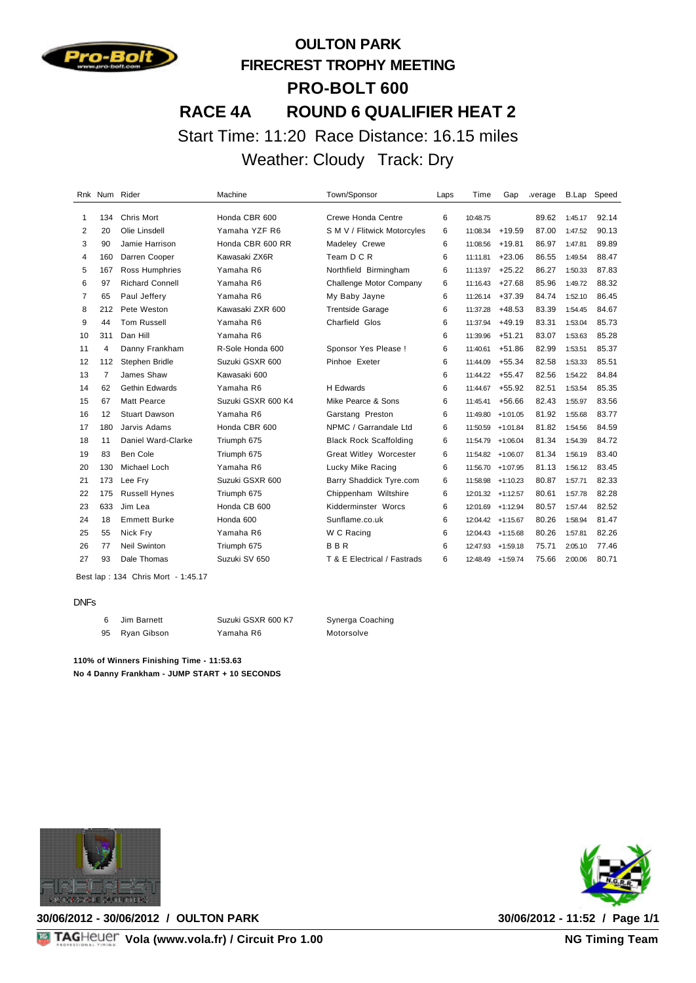

# **OULTON PARK FIRECREST TROPHY MEETING PRO-BOLT 600 RACE 4A ROUND 6 QUALIFIER HEAT 2** Start Time: 11:20 Race Distance: 16.15 miles Weather: Cloudy Track: Dry

|                |     | Rnk Num Rider          | Machine            | Town/Sponsor                  | Laps | Time              | Gap        | verage | B.Lap   | Speed |
|----------------|-----|------------------------|--------------------|-------------------------------|------|-------------------|------------|--------|---------|-------|
| 1              | 134 | <b>Chris Mort</b>      | Honda CBR 600      | Crewe Honda Centre            | 6    | 10:48.75          |            | 89.62  | 1:45.17 | 92.14 |
| 2              | 20  | Olie Linsdell          | Yamaha YZF R6      | S M V / Flitwick Motorcyles   | 6    | 11:08.34          | $+19.59$   | 87.00  | 1:47.52 | 90.13 |
| 3              | 90  | Jamie Harrison         | Honda CBR 600 RR   | Madeley Crewe                 | 6    | 11:08.56          | $+19.81$   | 86.97  | 1:47.81 | 89.89 |
| 4              | 160 | Darren Cooper          | Kawasaki ZX6R      | Team D C R                    | 6    | 11:11.81          | $+23.06$   | 86.55  | 1:49.54 | 88.47 |
| 5              | 167 | Ross Humphries         | Yamaha R6          | Northfield Birmingham         | 6    | 11:13.97          | $+25.22$   | 86.27  | 1:50.33 | 87.83 |
| 6              | 97  | <b>Richard Connell</b> | Yamaha R6          | Challenge Motor Company       | 6    | 11:16.43          | $+27.68$   | 85.96  | 1:49.72 | 88.32 |
| $\overline{7}$ | 65  | Paul Jeffery           | Yamaha R6          | My Baby Jayne                 | 6    | 11:26.14          | $+37.39$   | 84.74  | 1:52.10 | 86.45 |
| 8              | 212 | Pete Weston            | Kawasaki ZXR 600   | <b>Trentside Garage</b>       | 6    | 11:37.28          | $+48.53$   | 83.39  | 1:54.45 | 84.67 |
| 9              | 44  | <b>Tom Russell</b>     | Yamaha R6          | Charfield Glos                | 6    | 11:37.94          | $+49.19$   | 83.31  | 1:53.04 | 85.73 |
| 10             | 311 | Dan Hill               | Yamaha R6          |                               | 6    | 11:39.96          | $+51.21$   | 83.07  | 1:53.63 | 85.28 |
| 11             | 4   | Danny Frankham         | R-Sole Honda 600   | Sponsor Yes Please !          | 6    | 11:40.61          | $+51.86$   | 82.99  | 1:53.51 | 85.37 |
| 12             | 112 | Stephen Bridle         | Suzuki GSXR 600    | Pinhoe Exeter                 | 6    | 11:44.09          | $+55.34$   | 82.58  | 1:53.33 | 85.51 |
| 13             | 7   | James Shaw             | Kawasaki 600       |                               | 6    | 11:44.22          | $+55.47$   | 82.56  | 1:54.22 | 84.84 |
| 14             | 62  | Gethin Edwards         | Yamaha R6          | <b>H</b> Edwards              | 6    | 11:44.67          | $+55.92$   | 82.51  | 1:53.54 | 85.35 |
| 15             | 67  | <b>Matt Pearce</b>     | Suzuki GSXR 600 K4 | Mike Pearce & Sons            | 6    | 11:45.41          | $+56.66$   | 82.43  | 1:55.97 | 83.56 |
| 16             | 12  | <b>Stuart Dawson</b>   | Yamaha R6          | Garstang Preston              | 6    | 11:49.80          | $+1:01.05$ | 81.92  | 1:55.68 | 83.77 |
| 17             | 180 | Jarvis Adams           | Honda CBR 600      | NPMC / Garrandale Ltd         | 6    | 11:50.59          | $+1:01.84$ | 81.82  | 1:54.56 | 84.59 |
| 18             | 11  | Daniel Ward-Clarke     | Triumph 675        | <b>Black Rock Scaffolding</b> | 6    | 11:54.79          | $+1:06.04$ | 81.34  | 1:54.39 | 84.72 |
| 19             | 83  | Ben Cole               | Triumph 675        | Great Witley Worcester        | 6    | 11:54.82          | $+1:06.07$ | 81.34  | 1:56.19 | 83.40 |
| 20             | 130 | Michael Loch           | Yamaha R6          | Lucky Mike Racing             | 6    | 11:56.70          | $+1:07.95$ | 81.13  | 1:56.12 | 83.45 |
| 21             | 173 | Lee Fry                | Suzuki GSXR 600    | Barry Shaddick Tyre.com       | 6    | 11:58.98          | $+1:10.23$ | 80.87  | 1:57.71 | 82.33 |
| 22             | 175 | <b>Russell Hynes</b>   | Triumph 675        | Chippenham Wiltshire          | 6    | 12:01.32          | $+1:12.57$ | 80.61  | 1:57.78 | 82.28 |
| 23             | 633 | Jim Lea                | Honda CB 600       | Kidderminster Worcs           | 6    | 12:01.69          | $+1:12.94$ | 80.57  | 1:57.44 | 82.52 |
| 24             | 18  | <b>Emmett Burke</b>    | Honda 600          | Sunflame.co.uk                | 6    | 12:04.42 +1:15.67 |            | 80.26  | 1:58.94 | 81.47 |
| 25             | 55  | Nick Fry               | Yamaha R6          | W C Racing                    | 6    | 12:04.43 +1:15.68 |            | 80.26  | 1:57.81 | 82.26 |
| 26             | 77  | <b>Neil Swinton</b>    | Triumph 675        | <b>BBR</b>                    | 6    | 12:47.93          | $+1:59.18$ | 75.71  | 2:05.10 | 77.46 |
| 27             | 93  | Dale Thomas            | Suzuki SV 650      | T & E Electrical / Fastrads   | 6    | 12:48.49 +1:59.74 |            | 75.66  | 2:00.06 | 80.71 |
|                |     |                        |                    |                               |      |                   |            |        |         |       |

Best lap : 134 Chris Mort - 1:45.17

#### DNFs

 Jim Barnett Suzuki GSXR 600 K7 Synerga Coaching 95 Ryan Gibson Yamaha R6 Motorsolve

**110% of Winners Finishing Time - 11:53.63 No 4 Danny Frankham - JUMP START + 10 SECONDS**





**30/06/2012 - 30/06/2012 / OULTON PARK 30/06/2012 - 11:52 / Page 1/1**

**Vola (www.vola.fr) / Circuit Pro 1.00**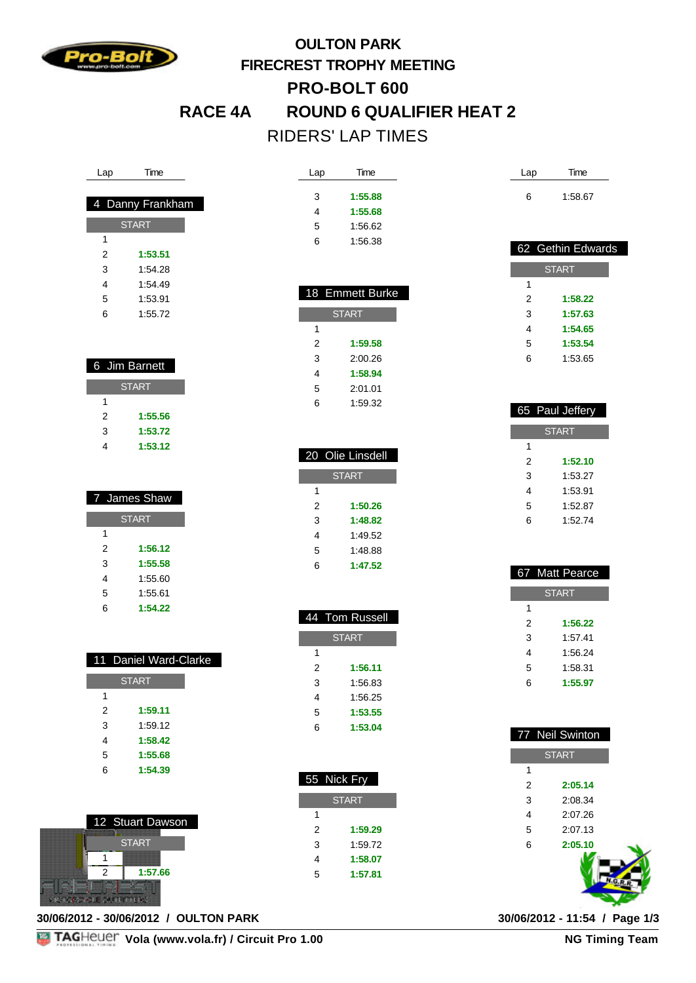

## **OULTON PARK FIRECREST TROPHY MEETING PRO-BOLT 600 RACE 4A ROUND 6 QUALIFIER HEAT 2** RIDERS' LAP TIMES

Lap Time

18 Emmet

1:59.32

 20 Olie Linsdell **START** 

> **1:50.26 1:48.82** 1:49.52 1:48.88 **1:47.52**

 44 Tom Russell **START** 

> **1:56.11** 1:56.83 1:56.25 **1:53.55 1:53.04**

55 Nick Fry

**START** 

 **1:59.29** 1:59.72 **1:58.07 1:57.81**

| 4 Danny Frankham |         |  |
|------------------|---------|--|
| <b>START</b>     |         |  |
| 1                |         |  |
| 2                | 1:53.51 |  |
| 3                | 1:54.28 |  |
| 4                | 1:54.49 |  |
| 5                | 1:53.91 |  |
| 6                | 1:55.72 |  |
|                  |         |  |

Lap Time

| 6 Jim Barnett |              |  |
|---------------|--------------|--|
|               | <b>START</b> |  |
| 1             |              |  |
| 2             | 1:55.56      |  |
| 3             | 1:53.72      |  |
|               | 1:53.12      |  |

| 7 James Shaw |         |  |
|--------------|---------|--|
| <b>START</b> |         |  |
| 1            |         |  |
| 2            | 1:56.12 |  |
| 3            | 1:55.58 |  |
| 4            | 1:55.60 |  |
| 5            | 1:55.61 |  |
| 6            | 1:54.22 |  |

|   | 11 Daniel Ward-Clarke |
|---|-----------------------|
|   | <b>START</b>          |
| 1 |                       |
| 2 | 1:59.11               |
| 3 | 1:59.12               |
| 4 | 1:58.42               |
| 5 | 1:55.68               |
| հ | 1:54.39               |



**30/06/2012 - 30/06/2012 / OULTON PARK 30/06/2012 - 11:54 / Page 1/3**

| 3              | 1:55.88        |
|----------------|----------------|
| $\overline{4}$ | 1:55.68        |
| 5              | 1:56.62        |
| 6              | 1:56.38        |
|                |                |
|                |                |
|                | 8 Emmett Burke |
|                | <b>START</b>   |
|                |                |
| 1              |                |
| $\overline{2}$ | 1:59.58        |
| 3              | 2:00.26        |
| 4              | 1:58.94        |

| Lap | Time    |
|-----|---------|
| 6   | 1:58.67 |

|              | 62 Gethin Edwards |  |
|--------------|-------------------|--|
| <b>START</b> |                   |  |
| 1            |                   |  |
| 2            | 1:58.22           |  |
| 3            | 1:57.63           |  |
| 4            | 1:54.65           |  |
| 5            | 1:53.54           |  |
| 6            | 1:53.65           |  |

|              | 65 Paul Jeffery |  |
|--------------|-----------------|--|
| <b>START</b> |                 |  |
| 1            |                 |  |
| 2            | 1:52.10         |  |
| 3            | 1:53.27         |  |
| 4            | 1:53.91         |  |
| 5            | 1:52.87         |  |
| 6            | 1:52.74         |  |
|              |                 |  |

|   | 67 Matt Pearce |
|---|----------------|
|   |                |
|   | <b>START</b>   |
| 1 |                |
| 2 | 1:56.22        |
| 3 | 1:57.41        |
| 4 | 1:56.24        |
| 5 | 1:58.31        |
| 6 | 1:55.97        |

|                | 77 Neil Swinton |
|----------------|-----------------|
|                | <b>START</b>    |
| 1              |                 |
| $\overline{2}$ | 2:05.14         |
| 3              | 2:08.34         |
| $\overline{4}$ | 2:07.26         |
| 5              | 2:07.13         |
| 6              | 2:05.10         |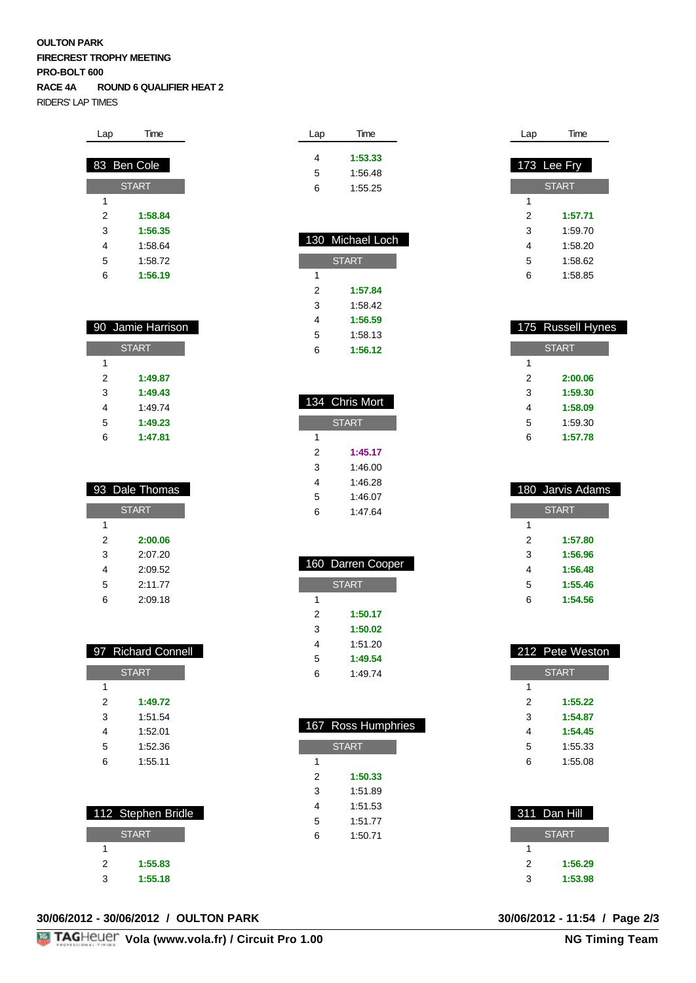#### **OULTON PARK FIRECREST TROPHY MEETING PRO-BOLT 600 RACE 4A ROUND 6 QUALIFIER HEAT 2** RIDERS' LAP TIMES

| Lap          | Time        |  |
|--------------|-------------|--|
|              |             |  |
|              | 83 Ben Cole |  |
| <b>START</b> |             |  |
| 1            |             |  |
| 2            | 1:58.84     |  |
| 3            | 1:56.35     |  |
| 4            | 1:58.64     |  |
| 5            | 1:58.72     |  |
| 6            | 1:56.19     |  |

|   | 90 Jamie Harrison |  |
|---|-------------------|--|
|   |                   |  |
|   | <b>START</b>      |  |
| 1 |                   |  |
| 2 | 1:49.87           |  |
| 3 | 1:49.43           |  |
| 4 | 1:49.74           |  |
| 5 | 1:49.23           |  |
| 6 | 1:47.81           |  |

|              | 93 Dale Thomas |
|--------------|----------------|
| <b>START</b> |                |
| 1            |                |
| 2            | 2:00.06        |
| 3            | 2:07.20        |
| 4            | 2:09.52        |
| 5            | 2:11.77        |
| հ            | 2:09.18        |

|              | 97 Richard Connell |
|--------------|--------------------|
| <b>START</b> |                    |
| 1            |                    |
| 2            | 1:49.72            |
| 3            | 1:51.54            |
| 4            | 1:52.01            |
| 5            | 1:52.36            |
| հ            | 1:55.11            |
|              |                    |

|   | 112 Stephen Bridle |
|---|--------------------|
|   | <b>START</b>       |
|   |                    |
| 2 | 1:55.83            |
| 3 | 1:55.18            |

#### **30/06/2012 - 30/06/2012 / OULTON PARK 30/06/2012 - 11:54 / Page 2/3**

| Lap | Time    |
|-----|---------|
| 4   | 1:53.33 |
| 5   | 1:56.48 |
| 6   | 1:55.25 |
|     |         |

| 130 Michael Loch |  |
|------------------|--|
| <b>START</b>     |  |
|                  |  |
| 1:57.84          |  |
| 1:58.42          |  |
| 1:56.59          |  |
| 1:58.13          |  |
| 1:56.12          |  |
|                  |  |

|              | 134 Chris Mort |  |
|--------------|----------------|--|
| <b>START</b> |                |  |
| 1            |                |  |
| 2            | 1:45.17        |  |
| 3            | 1:46.00        |  |
| 4            | 1:46.28        |  |
| 5            | 1:46.07        |  |
| 6            | 1:47.64        |  |

|              | 160 Darren Cooper |
|--------------|-------------------|
| <b>START</b> |                   |
| 1            |                   |
| 2            | 1:50.17           |
| 3            | 1:50.02           |
| 4            | 1:51.20           |
| 5            | 1:49.54           |
| հ            | 1:49.74           |

| 167 Ross Humphries |  |
|--------------------|--|
| <b>START</b>       |  |
|                    |  |
| 1:50.33            |  |
| 1:51.89            |  |
| 1:51.53            |  |
| 1:51.77            |  |
| 1:50.71            |  |
|                    |  |
|                    |  |

| Lap | Time          |
|-----|---------------|
|     |               |
|     | $173$ Lee Fry |
|     | <b>START</b>  |
| 1   |               |
| 2   | 1:57.71       |
| 3   | 1:59.70       |
| 4   | 1:58.20       |
| 5   | 1:58.62       |
| 6   | 1:58.85       |
|     |               |

|              | 175 Russell Hynes |
|--------------|-------------------|
| <b>START</b> |                   |
| 1            |                   |
| 2            | 2:00.06           |
| 3            | 1:59.30           |
| 4            | 1:58.09           |
| 5            | 1:59.30           |
| 6            | 1:57.78           |
|              |                   |

|              | 180 Jarvis Adams |  |
|--------------|------------------|--|
| <b>START</b> |                  |  |
| 1            |                  |  |
| 2            | 1:57.80          |  |
| 3            | 1:56.96          |  |
| 4            | 1:56.48          |  |
| 5            | 1:55.46          |  |
| 6            | 1:54.56          |  |
|              |                  |  |

|   | 212 Pete Weston |
|---|-----------------|
|   | <b>START</b>    |
| 1 |                 |
| 2 | 1:55.22         |
| 3 | 1:54.87         |
| 4 | 1:54.45         |
| 5 | 1:55.33         |
| 6 | 1:55.08         |
|   |                 |

|   | 311 Dan Hill |
|---|--------------|
|   | <b>START</b> |
|   |              |
| 2 | 1:56.29      |
| ٩ | 1:53.98      |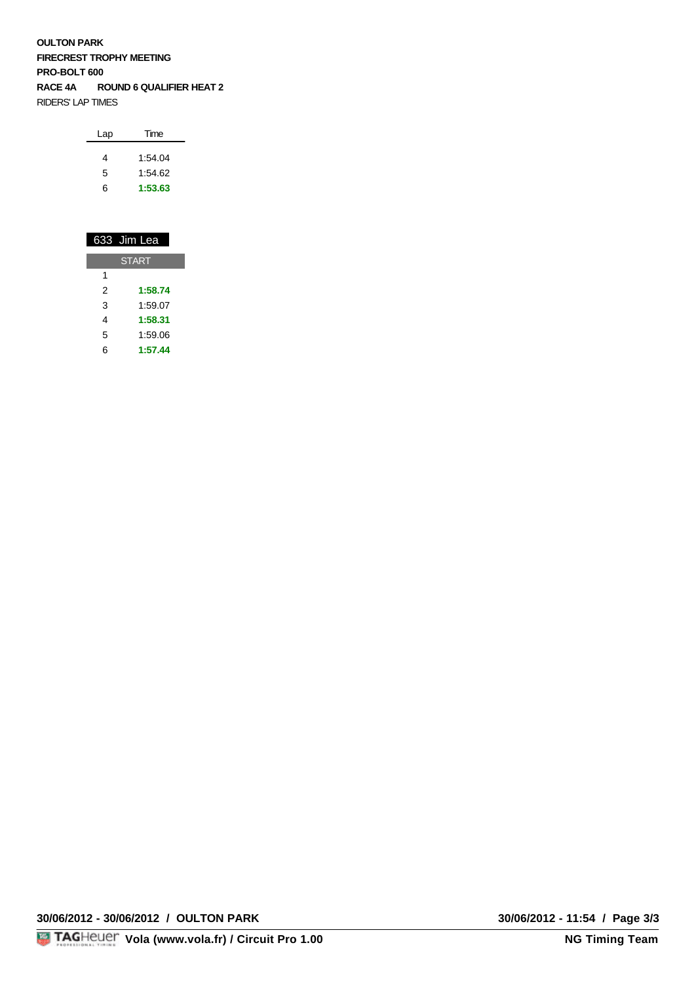**OULTON PARK FIRECREST TROPHY MEETING PRO-BOLT 600 RACE 4A ROUND 6 QUALIFIER HEAT 2** RIDERS' LAP TIMES

|   | 633 Jim Lea  |
|---|--------------|
|   | <b>START</b> |
| 1 |              |
| 2 | 1:58.74      |
| 3 | 1:59.07      |
| 4 | 1:58.31      |
| 5 | 1:59.06      |
| 6 | 1:57.44      |

**30/06/2012 - 30/06/2012 / OULTON PARK 30/06/2012 - 11:54 / Page 3/3**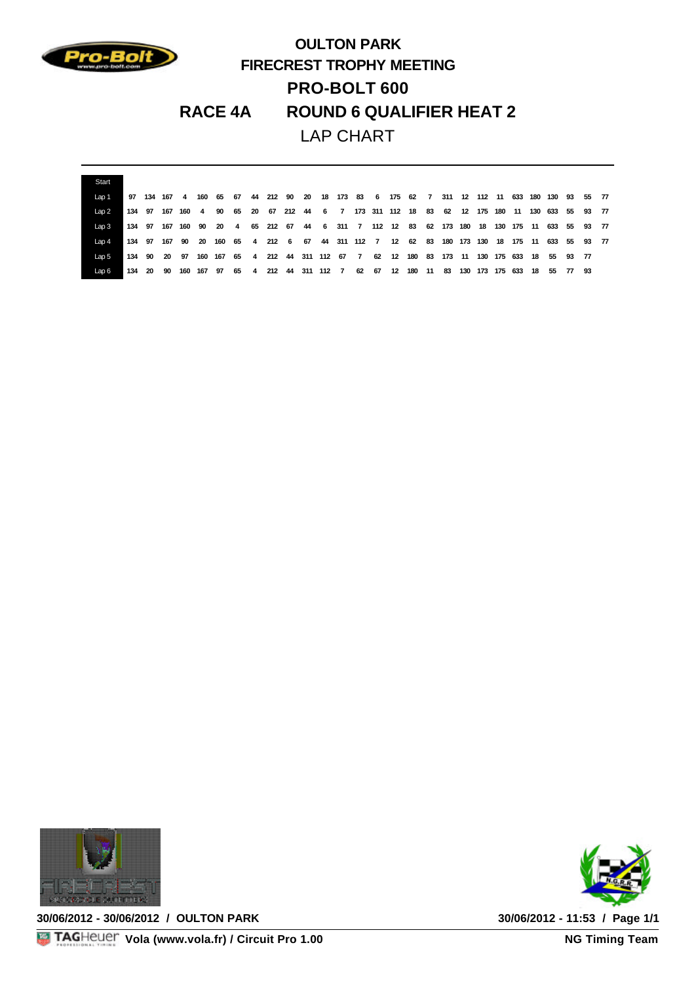

## **OULTON PARK FIRECREST TROPHY MEETING PRO-BOLT 600 RACE 4A ROUND 6 QUALIFIER HEAT 2** LAP CHART

| Start |        |               |  |                      |    |  |                                                                                             |  |  |  |           |  |                 |     |                  |  |  |
|-------|--------|---------------|--|----------------------|----|--|---------------------------------------------------------------------------------------------|--|--|--|-----------|--|-----------------|-----|------------------|--|--|
| Lap 1 |        | 97 134 167    |  |                      |    |  | 4 160 65 67 44 212 90 20 18 173 83 6 175 62 7 311 12 112 11 633                             |  |  |  |           |  |                 |     | 180 130 93 55 77 |  |  |
| Lap2  | 134 97 |               |  | 167 160 4            | 90 |  | 65 20 67 212 44 6 7 173 311 112 18 83 62 12 175 180 11                                      |  |  |  |           |  |                 |     | 130 633 55 93 77 |  |  |
| Lap3  |        |               |  |                      |    |  | 134 97 167 160 90 20 4 65 212 67 44 6 311 7 112 12 83 62 173 180 18 130 175 11 633 55 93 77 |  |  |  |           |  |                 |     |                  |  |  |
| Lap 4 |        | 134 97 167 90 |  | - 20                 |    |  | 160 65 4 212 6 67 44 311 112 7 12 62 83 180 173 130 18                                      |  |  |  |           |  |                 | 175 | 11 633 55 93 77  |  |  |
| Lap 5 |        | 134 90 20 97  |  | 160 167              |    |  | 65  4  212  44  311  112  67  7  62  12  180  83  173  11  130  175  633  18  55  93  77    |  |  |  |           |  |                 |     |                  |  |  |
| Lap 6 |        |               |  | 134 20 90 160 167 97 |    |  | 65   4   212   44   311   112   7   62   67  12                                             |  |  |  | 180 11 83 |  | 130 173 175 633 |     | 18 55 77 93      |  |  |



**30/06/2012 - 30/06/2012 / OULTON PARK 30/06/2012 - 11:53 / Page 1/1**



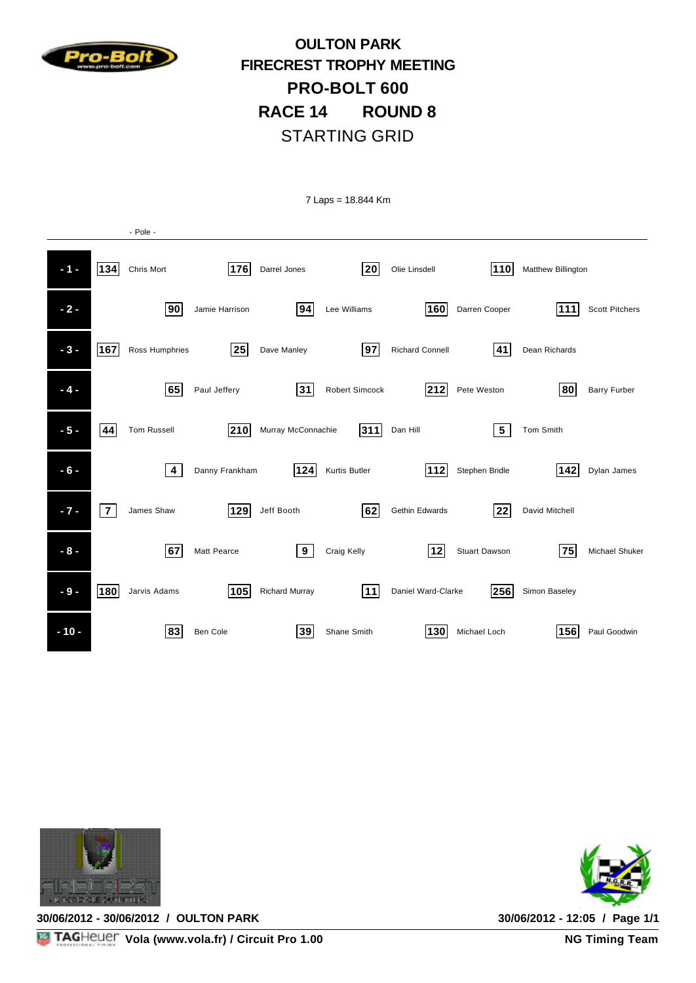

### **OULTON PARK FIRECREST TROPHY MEETING PRO-BOLT 600 RACE 14 ROUND 8** STARTING GRID

7 Laps = 18.844 Km

|        |                | - Pole -                |                    |                    |                |                        |                      |                    |                       |
|--------|----------------|-------------------------|--------------------|--------------------|----------------|------------------------|----------------------|--------------------|-----------------------|
| $-1 -$ | 134            | Chris Mort              | 176                | Darrel Jones       | 20             | Olie Linsdell          | 110                  | Matthew Billington |                       |
| $-2-$  |                | 90                      | Jamie Harrison     | 94                 | Lee Williams   | 160                    | Darren Cooper        | 111                | <b>Scott Pitchers</b> |
| $-3-$  | 167            | Ross Humphries          | 25                 | Dave Manley        | 97             | <b>Richard Connell</b> | 41                   | Dean Richards      |                       |
| $-4-$  |                | 65                      | Paul Jeffery       | 31                 | Robert Simcock | 212                    | Pete Weston          | 80                 | <b>Barry Furber</b>   |
| $-5-$  | 44             | <b>Tom Russell</b>      | 210                | Murray McConnachie | 311            | Dan Hill               | ${\bf 5}$            | Tom Smith          |                       |
| $-6-$  |                | $\overline{\mathbf{4}}$ | Danny Frankham     | 124                | Kurtis Butler  | 112                    | Stephen Bridle       | 142                | Dylan James           |
| $-7 -$ | $\overline{7}$ | James Shaw              | 129                | Jeff Booth         | 62             | Gethin Edwards         | 22                   | David Mitchell     |                       |
| $-8-$  |                | 67                      | <b>Matt Pearce</b> | 9                  | Craig Kelly    | 12                     | <b>Stuart Dawson</b> | 75                 | Michael Shuker        |
| $-9-$  | 180            | Jarvis Adams            | 105                | Richard Murray     | 11             | Daniel Ward-Clarke     | 256                  | Simon Baseley      |                       |
| $-10-$ |                | 83                      | Ben Cole           | 39                 | Shane Smith    | 130                    | Michael Loch         | 156                | Paul Goodwin          |



**30/06/2012 - 30/06/2012 / OULTON PARK 30/06/2012 - 12:05 / Page 1/1**



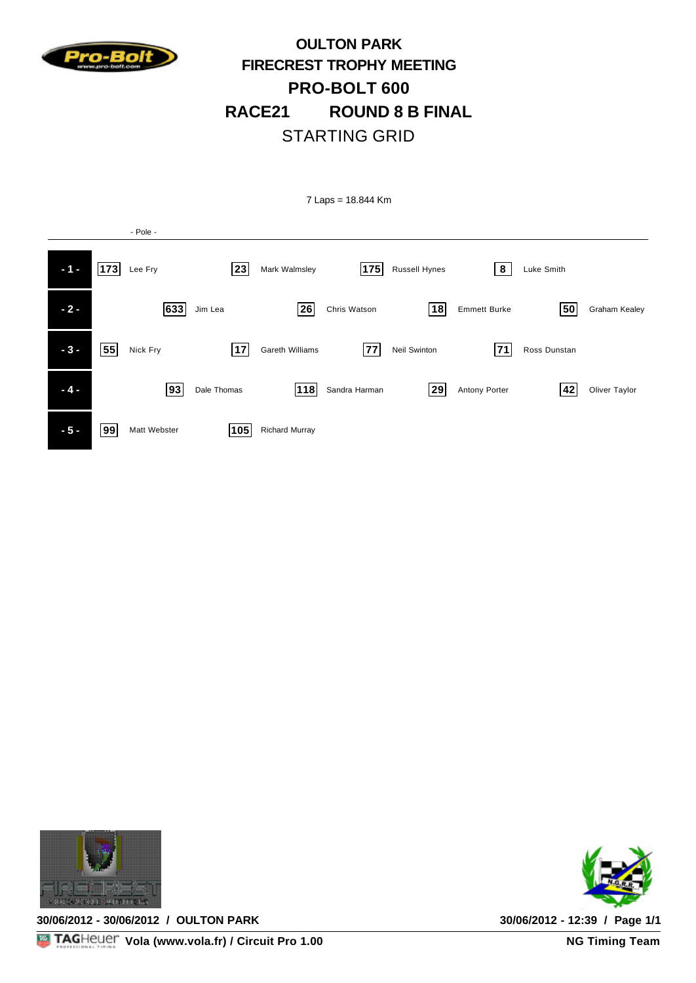

### **OULTON PARK FIRECREST TROPHY MEETING PRO-BOLT 600 RACE21 ROUND 8 B FINAL** STARTING GRID

7 Laps = 18.844 Km - Pole - **11 - 173** Lee Fry **23** Mark Walmsley **175** Russell Hynes **8** Luke Smith  **- 2 - 633 63** Jim Lea **262** Chris Watson **181** Emmett Burke **505** Graham Kealey **17** Gareth Williams **77** Neil Swinton **71** Ross Dunstan **71 14 - 118** Dale Thomas **118** Sandra Harman **129** Antony Porter **42** Oliver Taylor **-5 - 99** Matt Webster **105** Richard Murray



**30/06/2012 - 30/06/2012 / OULTON PARK 30/06/2012 - 12:39 / Page 1/1**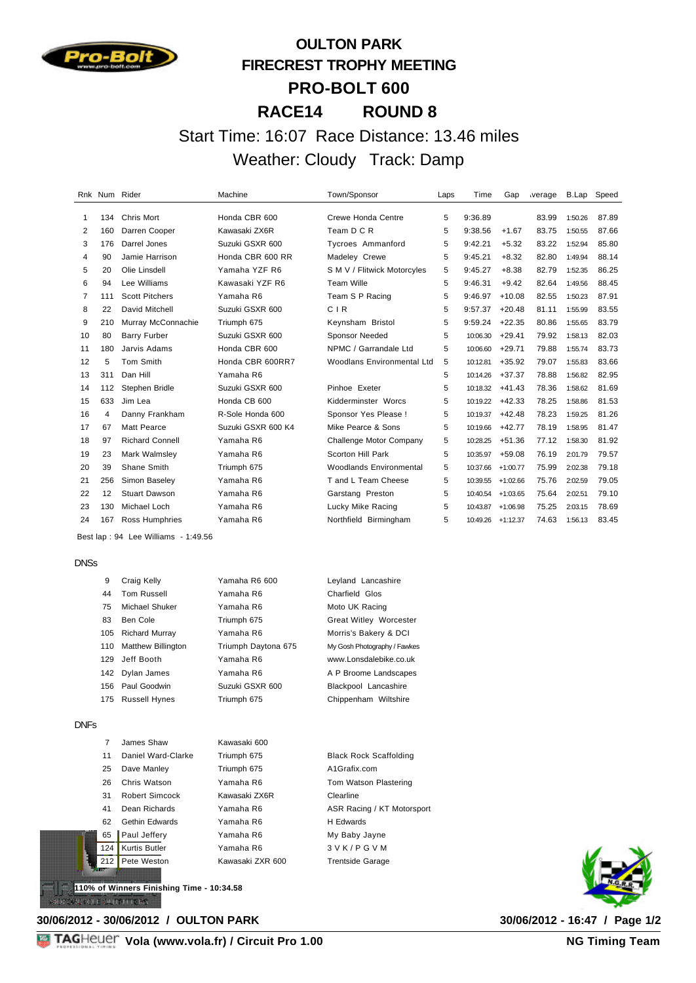

## **OULTON PARK FIRECREST TROPHY MEETING PRO-BOLT 600 RACE14 ROUND 8**

#### Start Time: 16:07 Race Distance: 13.46 miles Weather: Cloudy Track: Damp

|                |     | Rnk Num Rider          | Machine            | Town/Sponsor                      | Laps | Time     | Gap        | verage | B.Lap   | Speed |
|----------------|-----|------------------------|--------------------|-----------------------------------|------|----------|------------|--------|---------|-------|
| 1              | 134 | <b>Chris Mort</b>      | Honda CBR 600      | Crewe Honda Centre                | 5    | 9:36.89  |            | 83.99  | 1:50.26 | 87.89 |
| 2              | 160 | Darren Cooper          | Kawasaki ZX6R      | Team D C R                        | 5    | 9:38.56  | $+1.67$    | 83.75  | 1:50.55 | 87.66 |
| 3              | 176 | Darrel Jones           | Suzuki GSXR 600    | Tycroes Ammanford                 | 5    | 9:42.21  | $+5.32$    | 83.22  | 1:52.94 | 85.80 |
| 4              | 90  | Jamie Harrison         | Honda CBR 600 RR   | Madeley Crewe                     | 5    | 9:45.21  | $+8.32$    | 82.80  | 1:49.94 | 88.14 |
| 5              | 20  | Olie Linsdell          | Yamaha YZF R6      | S M V / Flitwick Motorcyles       | 5    | 9:45.27  | $+8.38$    | 82.79  | 1:52.35 | 86.25 |
| 6              | 94  | Lee Williams           | Kawasaki YZF R6    | <b>Team Wille</b>                 | 5    | 9:46.31  | $+9.42$    | 82.64  | 1:49.56 | 88.45 |
| $\overline{7}$ | 111 | <b>Scott Pitchers</b>  | Yamaha R6          | Team S P Racing                   | 5    | 9:46.97  | $+10.08$   | 82.55  | 1:50.23 | 87.91 |
| 8              | 22  | David Mitchell         | Suzuki GSXR 600    | CIR                               | 5    | 9:57.37  | $+20.48$   | 81.11  | 1:55.99 | 83.55 |
| 9              | 210 | Murray McConnachie     | Triumph 675        | Keynsham Bristol                  | 5    | 9:59.24  | $+22.35$   | 80.86  | 1:55.65 | 83.79 |
| 10             | 80  | <b>Barry Furber</b>    | Suzuki GSXR 600    | <b>Sponsor Needed</b>             | 5    | 10:06.30 | $+29.41$   | 79.92  | 1:58.13 | 82.03 |
| 11             | 180 | Jarvis Adams           | Honda CBR 600      | NPMC / Garrandale Ltd             | 5    | 10:06.60 | $+29.71$   | 79.88  | 1:55.74 | 83.73 |
| 12             | 5   | Tom Smith              | Honda CBR 600RR7   | <b>Woodlans Environmental Ltd</b> | 5    | 10:12.81 | $+35.92$   | 79.07  | 1:55.83 | 83.66 |
| 13             | 311 | Dan Hill               | Yamaha R6          |                                   | 5    | 10:14.26 | $+37.37$   | 78.88  | 1:56.82 | 82.95 |
| 14             | 112 | Stephen Bridle         | Suzuki GSXR 600    | Pinhoe Exeter                     | 5    | 10:18.32 | $+41.43$   | 78.36  | 1:58.62 | 81.69 |
| 15             | 633 | Jim Lea                | Honda CB 600       | Kidderminster Worcs               | 5    | 10:19.22 | $+42.33$   | 78.25  | 1:58.86 | 81.53 |
| 16             | 4   | Danny Frankham         | R-Sole Honda 600   | Sponsor Yes Please !              | 5    | 10:19.37 | $+42.48$   | 78.23  | 1:59.25 | 81.26 |
| 17             | 67  | Matt Pearce            | Suzuki GSXR 600 K4 | Mike Pearce & Sons                | 5    | 10:19.66 | $+42.77$   | 78.19  | 1:58.95 | 81.47 |
| 18             | 97  | <b>Richard Connell</b> | Yamaha R6          | Challenge Motor Company           | 5    | 10:28.25 | $+51.36$   | 77.12  | 1:58.30 | 81.92 |
| 19             | 23  | Mark Walmsley          | Yamaha R6          | Scorton Hill Park                 | 5    | 10:35.97 | $+59.08$   | 76.19  | 2:01.79 | 79.57 |
| 20             | 39  | Shane Smith            | Triumph 675        | <b>Woodlands Environmental</b>    | 5    | 10:37.66 | $+1:00.77$ | 75.99  | 2:02.38 | 79.18 |
| 21             | 256 | Simon Baseley          | Yamaha R6          | T and L Team Cheese               | 5    | 10:39.55 | $+1:02.66$ | 75.76  | 2:02.59 | 79.05 |
| 22             | 12  | <b>Stuart Dawson</b>   | Yamaha R6          | Garstang Preston                  | 5    | 10:40.54 | $+1:03.65$ | 75.64  | 2:02.51 | 79.10 |
| 23             | 130 | Michael Loch           | Yamaha R6          | Lucky Mike Racing                 | 5    | 10:43.87 | $+1:06.98$ | 75.25  | 2:03.15 | 78.69 |
| 24             | 167 | Ross Humphries         | Yamaha R6          | Northfield Birmingham             | 5    | 10:49.26 | $+1:12.37$ | 74.63  | 1:56.13 | 83.45 |

Best lap : 94 Lee Williams - 1:49.56

DNSs

| 9   | Craig Kelly               | Yamaha R6 600       | Leyland Lancashire            |
|-----|---------------------------|---------------------|-------------------------------|
| 44  | <b>Tom Russell</b>        | Yamaha R6           | <b>Charfield Glos</b>         |
| 75  | Michael Shuker            | Yamaha R6           | Moto UK Racing                |
| 83  | Ben Cole                  | Triumph 675         | <b>Great Witley Worcester</b> |
| 105 | <b>Richard Murray</b>     | Yamaha R6           | Morris's Bakery & DCI         |
| 110 | <b>Matthew Billington</b> | Triumph Daytona 675 | My Gosh Photography / Fawkes  |
| 129 | Jeff Booth                | Yamaha R6           | www.Lonsdalebike.co.uk        |
| 142 | Dylan James               | Yamaha R6           | A P Broome Landscapes         |
|     | 156 Paul Goodwin          | Suzuki GSXR 600     | Blackpool Lancashire          |
| 175 | <b>Russell Hynes</b>      | Triumph 675         | Chippenham Wiltshire          |

DNFs

| 7             | James Shaw           | Kawasaki 600     |                               |
|---------------|----------------------|------------------|-------------------------------|
| 11            | Daniel Ward-Clarke   | Triumph 675      | <b>Black Rock Scaffolding</b> |
| 25            | Dave Manley          | Triumph 675      | A1Grafix.com                  |
| 26            | Chris Watson         | Yamaha R6        | Tom Watson Plastering         |
| 31            | Robert Simcock       | Kawasaki ZX6R    | Clearline                     |
| 41            | Dean Richards        | Yamaha R6        | ASR Racing / KT Motorsport    |
| 62            | Gethin Edwards       | Yamaha R6        | H Edwards                     |
| 65            | Paul Jeffery         | Yamaha R6        | My Baby Jayne                 |
| 124           | <b>Kurtis Butler</b> | Yamaha R6        | 3 V K / P G V M               |
| 212           | Pete Weston          | Kawasaki ZXR 600 | <b>Trentside Garage</b>       |
| <b>The St</b> |                      |                  |                               |

**110% of Winners Finishing Time - 10:34.58**эмэхт оны нас

**30/06/2012 - 30/06/2012 / OULTON PARK 30/06/2012 - 16:47 / Page 1/2**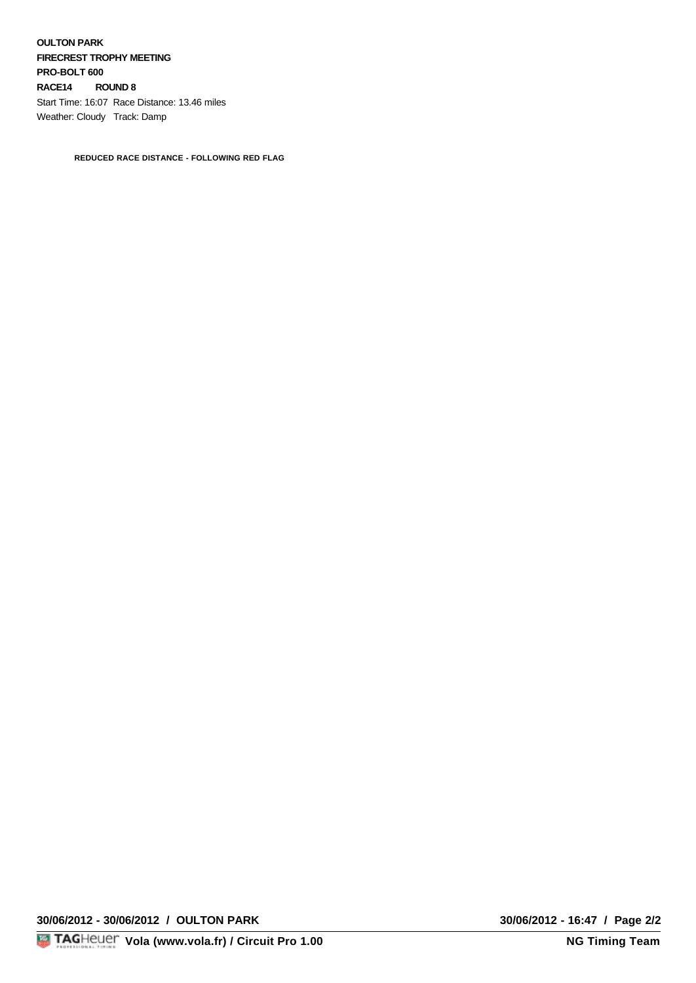**OULTON PARK FIRECREST TROPHY MEETING PRO-BOLT 600 RACE14 ROUND 8**  Start Time: 16:07 Race Distance: 13.46 miles Weather: Cloudy Track: Damp

**REDUCED RACE DISTANCE - FOLLOWING RED FLAG**

**30/06/2012 - 30/06/2012 / OULTON PARK 30/06/2012 - 16:47 / Page 2/2**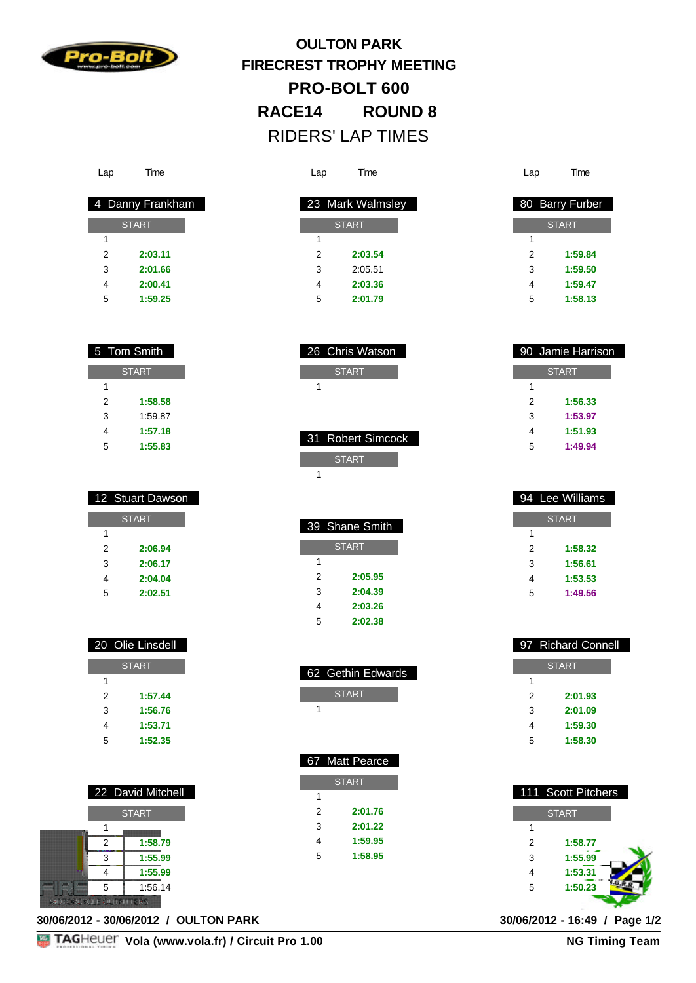

# **OULTON PARK FIRECREST TROPHY MEETING PRO-BOLT 600 RACE14 ROUND 8**  RIDERS' LAP TIMES

| Lap | Time             |  |
|-----|------------------|--|
|     |                  |  |
|     | 23 Mark Walmsley |  |
|     | <b>START</b>     |  |
| 1   |                  |  |
| 2   | 2:03.54          |  |
| 3   | 2:05.51          |  |
| 4   | 2:03.36          |  |
| 5   | 2:01.79          |  |

 26 Chris Watson START

 31 Robert Simcock **START** 

 39 Shane Smith **START** 

> **2:05.95 2:04.39 2:03.26 2:02.38**

 62 Gethin Edwards **START** 

 67 Matt Pearce **START** 

> **2:01.76 2:01.22 1:59.95 1:58.95**

|   | 80 Barry Furber |
|---|-----------------|
|   | <b>START</b>    |
| 1 |                 |
| 2 | 1:59.84         |
| 3 | 1:59.50         |
| 4 | 1:59.47         |
| 5 | 1:58.13         |
|   |                 |

Lap Time

|   | 90 Jamie Harrison |
|---|-------------------|
|   | <b>START</b>      |
| 1 |                   |
| 2 | 1:56.33           |
| 3 | 1:53.97           |
| 4 | 1:51.93           |
| 5 | 1:49.94           |
|   |                   |

|   | 4 Lee Williams |
|---|----------------|
|   | <b>START</b>   |
| 1 |                |
| 2 | 1:58.32        |
| 3 | 1:56.61        |
| 4 | 1:53.53        |
| 5 | 1:49.56        |

|   | 97 Richard Connell |
|---|--------------------|
|   | <b>START</b>       |
| 1 |                    |
| 2 | 2:01.93            |
| 3 | 2:01.09            |
| 4 | 1:59.30            |
| 5 | 1:58.30            |

|                | 111 Scott Pitchers |  |
|----------------|--------------------|--|
|                | <b>START</b>       |  |
| 1              |                    |  |
| $\overline{2}$ | 1:58.77            |  |
| 3              | 1:55.99            |  |
| 4              | 1:53.31            |  |
| 5              | 1:50.23            |  |
|                |                    |  |

| Lap | l ime |
|-----|-------|
|     |       |

|   | 4 Danny Frankham |
|---|------------------|
|   | <b>START</b>     |
| 1 |                  |
| 2 | 2:03.11          |
| 3 | 2:01.66          |
| 4 | 2:00.41          |
| 5 | 1:59.25          |

| 5 Tom Smith |              |
|-------------|--------------|
|             | <b>START</b> |
| 1           |              |
| 2           | 1:58.58      |
| 3           | 1:59.87      |
| 4           | 1:57.18      |
| 5           | 1:55.83      |

|   | 12 Stuart Dawson |
|---|------------------|
|   | <b>START</b>     |
| 1 |                  |
| 2 | 2:06.94          |
| 3 | 2:06.17          |
| 4 | 2:04.04          |
| 5 | 2:02.51          |

| <b>START</b><br>1<br>1:57.44<br>2<br>3<br>1:56.76 | 20 Olie Linsdell |
|---------------------------------------------------|------------------|
|                                                   |                  |
|                                                   |                  |
|                                                   |                  |
|                                                   |                  |
| 1:53.71                                           | 4                |
| 1:52.35<br>5                                      |                  |

|   | 22 David Mitchell |
|---|-------------------|
|   | <b>START</b>      |
|   |                   |
| 2 | 1:58.79           |
| 3 | 1:55.99           |
|   | 1:55.99           |
| 5 | 1:56.14           |
|   |                   |

**30/06/2012 - 30/06/2012 / OULTON PARK 30/06/2012 - 16:49 / Page 1/2**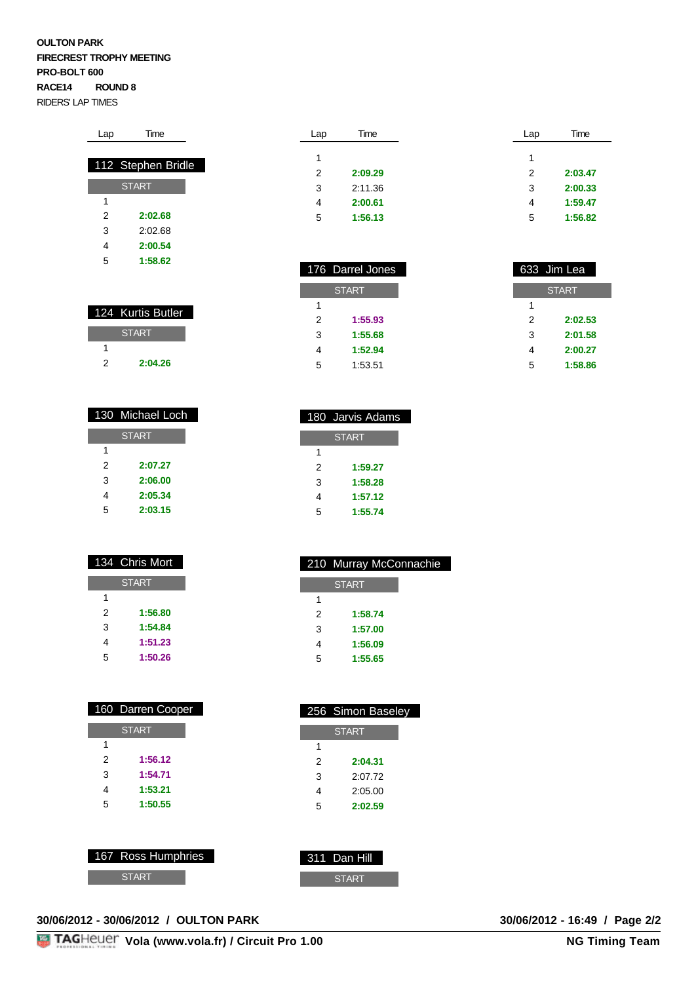#### **OULTON PARK FIRECREST TROPHY MEETING PRO-BOLT 600 RACE14 ROUND 8**  RIDERS' LAP TIMES

| Lap | Time               |
|-----|--------------------|
|     |                    |
|     | 112 Stephen Bridle |
|     | <b>START</b>       |
| 1   |                    |
| 2   | 2:02.68            |
| 3   | 2:02.68            |
| 4   | 2:00.54            |
| 5   | 1:58.62            |

|   | 124 Kurtis Butler |
|---|-------------------|
|   | <b>START</b>      |
|   |                   |
| 2 | 2:04.26           |

|   | 130 Michael Loch |
|---|------------------|
|   | <b>START</b>     |
| 1 |                  |
| 2 | 2:07.27          |
| 3 | 2:06.00          |
| 4 | 2:05.34          |
| 5 | 2:03.15          |

|   | 134 Chris Mort |
|---|----------------|
|   | <b>START</b>   |
| 1 |                |
| 2 | 1:56.80        |
| 3 | 1:54.84        |
| 4 | 1:51.23        |
| 5 | 1:50.26        |

|   | 160 Darren Cooper |  |  |  |  |  |  |
|---|-------------------|--|--|--|--|--|--|
|   | <b>START</b>      |  |  |  |  |  |  |
| 1 |                   |  |  |  |  |  |  |
| 2 | 1:56.12           |  |  |  |  |  |  |
| 3 | 1:54.71           |  |  |  |  |  |  |
| 4 | 1:53.21           |  |  |  |  |  |  |
| 5 | 1:50.55           |  |  |  |  |  |  |
|   |                   |  |  |  |  |  |  |

|                    | - |              |
|--------------------|---|--------------|
|                    |   |              |
|                    |   |              |
| 167 Ross Humphries |   | 311 Dan Hill |
| <b>START</b>       |   | <b>START</b> |
|                    |   |              |

| 30/06/2012 - 30/06/2012 / OULTON PARK |  |  |
|---------------------------------------|--|--|
|                                       |  |  |

| Lap | Time    | Lap | Time    |
|-----|---------|-----|---------|
|     |         |     |         |
| 1   |         | 1   |         |
| 2   | 2:09.29 | 2   | 2:03.47 |
| 3   | 2:11.36 | 3   | 2:00.33 |
| 4   | 2:00.61 | 4   | 1:59.47 |
| 5   | 1:56.13 | 5   | 1:56.82 |

|   | 176 Darrel Jones |   | 633 Jim Lea  |
|---|------------------|---|--------------|
|   | <b>START</b>     |   | <b>START</b> |
| 1 |                  | 1 |              |
| 2 | 1:55.93          | 2 | 2:02.53      |
| 3 | 1:55.68          | 3 | 2:01.58      |
| 4 | 1:52.94          | 4 | 2:00.27      |
| 5 | 1:53.51          | 5 | 1:58.86      |

|   | 180 Jarvis Adams |
|---|------------------|
|   | <b>START</b>     |
| 1 |                  |
| 2 | 1:59.27          |
| 3 | 1:58.28          |
| 4 | 1:57.12          |
| 5 | 1:55.74          |

|   | 210 Murray McConnachie |
|---|------------------------|
|   | <b>START</b>           |
| 1 |                        |
| 2 | 1:58.74                |
| 3 | 1:57.00                |
| 4 | 1:56.09                |
| 5 | 1:55.65                |

|   | 256 Simon Baseley |
|---|-------------------|
|   | <b>START</b>      |
| 1 |                   |
| 2 | 2:04.31           |
| 3 | 2:07.72           |
| 4 | 2:05.00           |
| 5 | 2:02.59           |
|   |                   |

| 30/06/2012 - 16:49 / Page 2/2 |  |  |
|-------------------------------|--|--|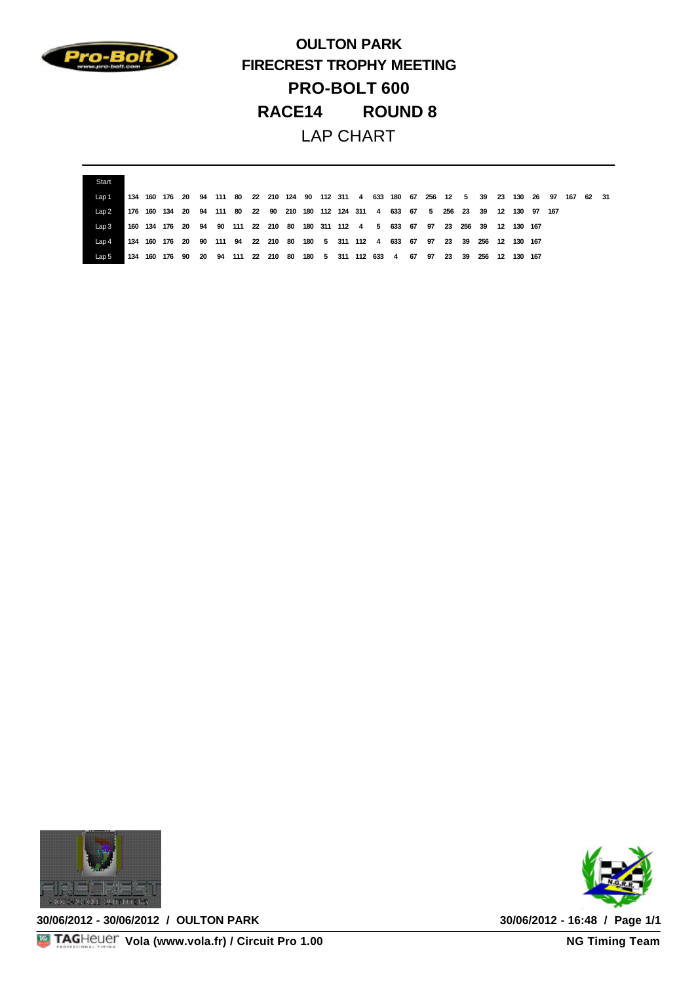

**OULTON PARK FIRECREST TROPHY MEETING PRO-BOLT 600 RACE14 ROUND 8**  LAP CHART

| Start  |  |                                                                                       |  |  |  |  |  |  |  |  |                                                                    |  |  |                                                                                 |  |
|--------|--|---------------------------------------------------------------------------------------|--|--|--|--|--|--|--|--|--------------------------------------------------------------------|--|--|---------------------------------------------------------------------------------|--|
| l an 1 |  | 134 160 176 20                                                                        |  |  |  |  |  |  |  |  |                                                                    |  |  | 94 111 80 22 210 124 90 112 311 4 633 180 67 256 12 5 39 23 130 26 97 167 62 31 |  |
| l an 2 |  | 176 160 134 20 94 111 80 22 90 210 180 112 124 311 4 633 67 5 256 23 39 12 130 97 167 |  |  |  |  |  |  |  |  |                                                                    |  |  |                                                                                 |  |
| Lap 3  |  | 160 134 176 20 94 90 111 22 210 80 180 311 112 4 5 633 67 97 23 256 39 12 130 167     |  |  |  |  |  |  |  |  |                                                                    |  |  |                                                                                 |  |
|        |  | 134 160 176 20 90 111 94 22 210 80 180 5 311 112 4 633 67 97 23 39 256 12 130 167     |  |  |  |  |  |  |  |  |                                                                    |  |  |                                                                                 |  |
| Lap 5  |  | 134 160 176 90                                                                        |  |  |  |  |  |  |  |  | 20 94 111 22 210 80 180 5 311 112 633 4 67 97 23 39 256 12 130 167 |  |  |                                                                                 |  |



**30/06/2012 - 30/06/2012 / OULTON PARK 30/06/2012 - 16:48 / Page 1/1**



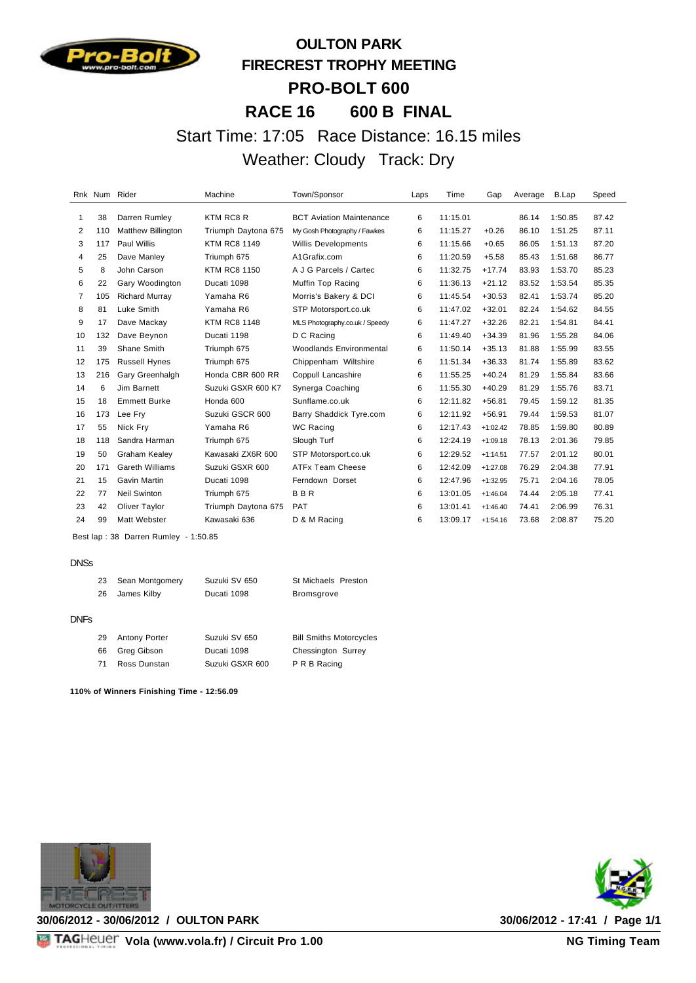

# **OULTON PARK FIRECREST TROPHY MEETING PRO-BOLT 600 RACE 16 600 B FINAL** Start Time: 17:05 Race Distance: 16.15 miles Weather: Cloudy Track: Dry

|                |     | Rnk Num Rider             | Machine             | Town/Sponsor                    | Laps | Time     | Gap        | Average | B.Lap   | Speed |
|----------------|-----|---------------------------|---------------------|---------------------------------|------|----------|------------|---------|---------|-------|
| 1              | 38  | Darren Rumley             | KTM RC8 R           | <b>BCT Aviation Maintenance</b> | 6    | 11:15.01 |            | 86.14   | 1:50.85 | 87.42 |
| 2              | 110 | <b>Matthew Billington</b> | Triumph Daytona 675 | My Gosh Photography / Fawkes    | 6    | 11:15.27 | $+0.26$    | 86.10   | 1:51.25 | 87.11 |
| 3              | 117 | Paul Willis               | <b>KTM RC8 1149</b> | <b>Willis Developments</b>      | 6    | 11:15.66 | $+0.65$    | 86.05   | 1:51.13 | 87.20 |
| 4              | 25  | Dave Manley               | Triumph 675         | A1Grafix.com                    | 6    | 11:20.59 | $+5.58$    | 85.43   | 1:51.68 | 86.77 |
| 5              | 8   | John Carson               | <b>KTM RC8 1150</b> | A J G Parcels / Cartec          | 6    | 11:32.75 | $+17.74$   | 83.93   | 1:53.70 | 85.23 |
| 6              | 22  | Gary Woodington           | Ducati 1098         | Muffin Top Racing               | 6    | 11:36.13 | $+21.12$   | 83.52   | 1:53.54 | 85.35 |
| $\overline{7}$ | 105 | <b>Richard Murray</b>     | Yamaha R6           | Morris's Bakery & DCI           | 6    | 11:45.54 | $+30.53$   | 82.41   | 1:53.74 | 85.20 |
| 8              | 81  | Luke Smith                | Yamaha R6           | STP Motorsport.co.uk            | 6    | 11:47.02 | $+32.01$   | 82.24   | 1:54.62 | 84.55 |
| 9              | 17  | Dave Mackay               | <b>KTM RC8 1148</b> | MLS Photography.co.uk / Speedy  | 6    | 11:47.27 | $+32.26$   | 82.21   | 1:54.81 | 84.41 |
| 10             | 132 | Dave Beynon               | Ducati 1198         | D C Racing                      | 6    | 11:49.40 | $+34.39$   | 81.96   | 1:55.28 | 84.06 |
| 11             | 39  | Shane Smith               | Triumph 675         | <b>Woodlands Environmental</b>  | 6    | 11:50.14 | $+35.13$   | 81.88   | 1:55.99 | 83.55 |
| 12             | 175 | <b>Russell Hynes</b>      | Triumph 675         | Chippenham Wiltshire            | 6    | 11:51.34 | $+36.33$   | 81.74   | 1:55.89 | 83.62 |
| 13             | 216 | Gary Greenhalgh           | Honda CBR 600 RR    | Coppull Lancashire              | 6    | 11:55.25 | $+40.24$   | 81.29   | 1:55.84 | 83.66 |
| 14             | 6   | Jim Barnett               | Suzuki GSXR 600 K7  | Synerga Coaching                | 6    | 11:55.30 | $+40.29$   | 81.29   | 1:55.76 | 83.71 |
| 15             | 18  | <b>Emmett Burke</b>       | Honda 600           | Sunflame.co.uk                  | 6    | 12:11.82 | $+56.81$   | 79.45   | 1:59.12 | 81.35 |
| 16             | 173 | Lee Fry                   | Suzuki GSCR 600     | Barry Shaddick Tyre.com         | 6    | 12:11.92 | $+56.91$   | 79.44   | 1:59.53 | 81.07 |
| 17             | 55  | Nick Fry                  | Yamaha R6           | <b>WC Racing</b>                | 6    | 12:17.43 | $+1:02.42$ | 78.85   | 1:59.80 | 80.89 |
| 18             | 118 | Sandra Harman             | Triumph 675         | Slough Turf                     | 6    | 12:24.19 | $+1:09.18$ | 78.13   | 2:01.36 | 79.85 |
| 19             | 50  | <b>Graham Kealey</b>      | Kawasaki ZX6R 600   | STP Motorsport.co.uk            | 6    | 12:29.52 | $+1:14.51$ | 77.57   | 2:01.12 | 80.01 |
| 20             | 171 | <b>Gareth Williams</b>    | Suzuki GSXR 600     | ATFx Team Cheese                | 6    | 12:42.09 | $+1:27.08$ | 76.29   | 2:04.38 | 77.91 |
| 21             | 15  | Gavin Martin              | Ducati 1098         | Ferndown Dorset                 | 6    | 12:47.96 | $+1:32.95$ | 75.71   | 2:04.16 | 78.05 |
| 22             | 77  | <b>Neil Swinton</b>       | Triumph 675         | <b>BBR</b>                      | 6    | 13:01.05 | $+1:46.04$ | 74.44   | 2:05.18 | 77.41 |
| 23             | 42  | Oliver Taylor             | Triumph Daytona 675 | <b>PAT</b>                      | 6    | 13:01.41 | $+1:46.40$ | 74.41   | 2:06.99 | 76.31 |
| 24             | 99  | Matt Webster              | Kawasaki 636        | D & M Racing                    | 6    | 13:09.17 | $+1:54.16$ | 73.68   | 2:08.87 | 75.20 |

Best lap : 38 Darren Rumley - 1:50.85

#### DNSs

| 23 | Sean Montgomery | Suzuki SV 650 | St Michaels Preston |  |  |
|----|-----------------|---------------|---------------------|--|--|
| 26 | James Kilby     | Ducati 1098   | Bromsgrove          |  |  |
|    |                 |               |                     |  |  |

#### DNFs

| 29 | <b>Antony Porter</b> | Suzuki SV 650   | <b>Bill Smiths Motorcycles</b> |
|----|----------------------|-----------------|--------------------------------|
| 66 | Greg Gibson          | Ducati 1098     | Chessington Surrey             |
| 71 | Ross Dunstan         | Suzuki GSXR 600 | P R B Racing                   |

**110% of Winners Finishing Time - 12:56.09**



**30/06/2012 - 30/06/2012 / OULTON PARK 30/06/2012 - 17:41 / Page 1/1**

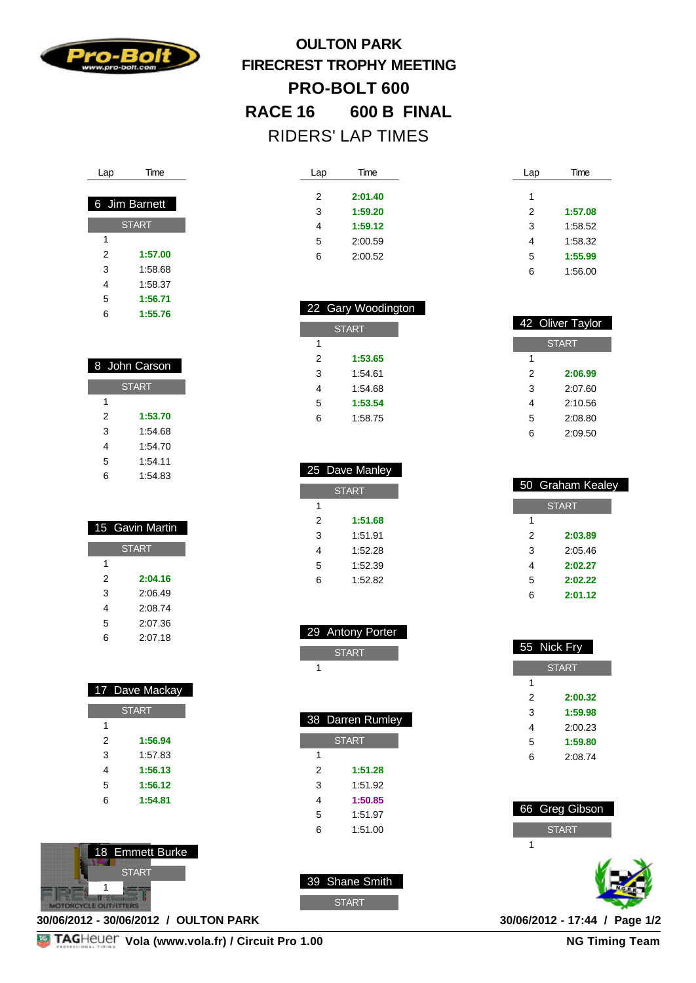

# **OULTON PARK FIRECREST TROPHY MEETING PRO-BOLT 600 RACE 16 600 B FINAL** RIDERS' LAP TIMES

| Lap            | Time    | Lap | Time    |
|----------------|---------|-----|---------|
| $\overline{2}$ | 2:01.40 | 1   |         |
| 3              | 1:59.20 | 2   | 1:57.08 |
| 4              | 1:59.12 | 3   | 1:58.52 |
| 5              | 2:00.59 | 4   | 1:58.32 |
| 6              | 2:00.52 | 5   | 1:55.99 |
|                |         | 6   | 1:56.00 |

|   | 42 Oliver Taylor |  |  |
|---|------------------|--|--|
|   | <b>START</b>     |  |  |
| 1 |                  |  |  |
| 2 | 2:06.99          |  |  |
| 3 | 2:07.60          |  |  |
| 4 | 2:10.56          |  |  |
| 5 | 2:08.80          |  |  |
| 6 | 2:09.50          |  |  |

|   | 50 Graham Kealey |
|---|------------------|
|   | <b>START</b>     |
| 1 |                  |
| 2 | 2:03.89          |
| 3 | 2:05.46          |
| 4 | 2:02.27          |
| 5 | 2:02.22          |
| հ | 2:01.12          |

|                | 55 Nick Fry  |  |  |
|----------------|--------------|--|--|
|                | <b>START</b> |  |  |
| 1              |              |  |  |
| $\mathfrak{p}$ | 2:00.32      |  |  |
| 3              | 1:59.98      |  |  |
| 4              | 2:00.23      |  |  |
| 5              | 1:59.80      |  |  |
| 6              | 2:08.74      |  |  |
|                |              |  |  |
|                |              |  |  |

| 66 Greg Gibson |
|----------------|
| <b>START</b>   |
|                |
|                |



| Time          |
|---------------|
|               |
| 6 Jim Barnett |
| <b>START</b>  |
|               |
| 1:57.00       |
|               |

 1:58.68 1:58.37

 **1:56.71 1:55.76**

| 8 John Carson |         |  |
|---------------|---------|--|
| <b>START</b>  |         |  |
| 1             |         |  |
| 2             | 1:53.70 |  |
| 3             | 1:54.68 |  |
| 4             | 1:54.70 |  |
| 5             | 1:54.11 |  |
| 6             | 1:54.83 |  |

|              | 15 Gavin Martin |  |
|--------------|-----------------|--|
| <b>START</b> |                 |  |
| 1            |                 |  |
| 2            | 2:04.16         |  |
| 3            | 2:06.49         |  |
| 4            | 2:08.74         |  |
| 5            | 2:07.36         |  |
| հ            | 2:07.18         |  |

|              | 17 Dave Mackay |  |
|--------------|----------------|--|
| <b>START</b> |                |  |
| 1            |                |  |
| 2            | 1:56.94        |  |
| 3            | 1:57.83        |  |
| 4            | 1:56.13        |  |
| 5            | 1:56.12        |  |
| 6            | 1:54.81        |  |
|              |                |  |



**30/06/2012 - 30/06/2012 / OULTON PARK 30/06/2012 - 17:44 / Page 1/2**



**NG Timing Team** 

|              | 25 Dave Manley |  |
|--------------|----------------|--|
| <b>START</b> |                |  |
| 1            |                |  |
| 2            | 1:51.68        |  |
| 3            | 1:51.91        |  |
| 4            | 1:52.28        |  |
| 5            | 1:52.39        |  |
| 6            | 1:52.82        |  |

 22 Gary Woodington **START** 

 **1:53.65** 1:54.61 1:54.68 **1:53.54** 1:58.75

| 29 Antony Porter |
|------------------|
| <b>START</b>     |
|                  |

г

|              | 38 Darren Rumley |  |
|--------------|------------------|--|
| <b>START</b> |                  |  |
| 1            |                  |  |
| 2            | 1:51.28          |  |
| 3            | 1:51.92          |  |
| 4            | 1:50.85          |  |
| 5            | 1:51.97          |  |
|              |                  |  |

| 6 | 1:51.00 |
|---|---------|
|   |         |
|   |         |

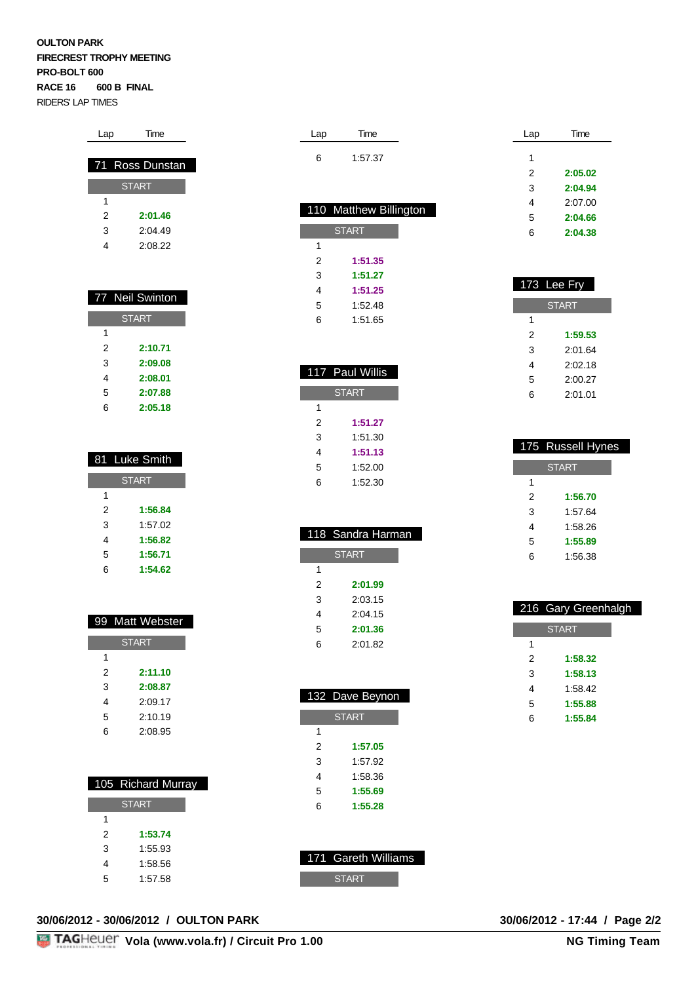#### **OULTON PARK FIRECREST TROPHY MEETING PRO-BOLT 600 RACE 16 600 B FINAL** RIDERS' LAP TIMES

| 71 | Ross Dunstan    |
|----|-----------------|
|    | <b>START</b>    |
| 1  |                 |
| 2  | 2:01.46         |
| 3  | 2:04.49         |
| 4  | 2:08.22         |
|    |                 |
|    |                 |
|    | 77 Neil Swinton |
|    | <b>START</b>    |
|    |                 |

Lap Time

| 2 | 2:10.71 |
|---|---------|
| 3 | 2:09.08 |
| 4 | 2:08.01 |
| 5 | 2:07.88 |
| հ | 2:05.18 |

|   | 81 Luke Smith |
|---|---------------|
|   | <b>START</b>  |
| 1 |               |
| 2 | 1:56.84       |
| 3 | 1:57.02       |
| 4 | 1:56.82       |
| 5 | 1:56.71       |
| 6 | 1:54.62       |

|              | 99 Matt Webster |
|--------------|-----------------|
| <b>START</b> |                 |
| 1            |                 |
| 2            | 2:11.10         |
| 3            | 2:08.87         |
| 4            | 2:09.17         |
| 5            | 2:10.19         |
| 6            | 2:08.95         |
|              |                 |

|   | 105 Richard Murray |
|---|--------------------|
|   | <b>START</b>       |
| 1 |                    |
| 2 | 1:53.74            |
| 3 | 1:55.93            |
| 4 | 1:58.56            |
| 5 | 1:57.58            |

| Lap | Time    |
|-----|---------|
|     | 1:57.37 |

|   | 110 Matthew Billington |
|---|------------------------|
|   |                        |
|   | <b>START</b>           |
| 1 |                        |
| 2 | 1:51.35                |
| 3 | 1:51.27                |
| 4 | 1:51.25                |
| 5 | 1:52.48                |
| 6 | 1:51.65                |
|   |                        |

|   | 117 Paul Willis |
|---|-----------------|
|   | <b>START</b>    |
| 1 |                 |
| 2 | 1:51.27         |
| 3 | 1:51.30         |
| 4 | 1:51.13         |
| 5 | 1:52.00         |
| 6 | 1:52.30         |

|   | 118 Sandra Harman |
|---|-------------------|
|   | <b>START</b>      |
| 1 |                   |
| 2 | 2:01.99           |
| 3 | 2:03.15           |
| 4 | 2:04.15           |
| 5 | 2:01.36           |
| 6 | 2:01.82           |
|   |                   |

|              | 132 Dave Beynon |  |
|--------------|-----------------|--|
| <b>START</b> |                 |  |
| 1            |                 |  |
| 2            | 1:57.05         |  |
| 3            | 1:57.92         |  |
| 4            | 1:58.36         |  |
| 5            | 1:55.69         |  |
| 6            | 1:55.28         |  |

| 171 Gareth Williams |
|---------------------|
| <b>START</b>        |

| Lap | Time    |
|-----|---------|
| 1   |         |
| 2   | 2:05.02 |
| 3   | 2:04.94 |
| 4   | 2:07.00 |
| 5   | 2:04.66 |
| 6   | 2:04.38 |

|              | 173 Lee Fry |  |  |  |  |  |  |  |  |  |  |
|--------------|-------------|--|--|--|--|--|--|--|--|--|--|
| <b>START</b> |             |  |  |  |  |  |  |  |  |  |  |
| 1            |             |  |  |  |  |  |  |  |  |  |  |
| 2            | 1:59.53     |  |  |  |  |  |  |  |  |  |  |
| 3            | 2:01.64     |  |  |  |  |  |  |  |  |  |  |
| 4            | 2:02.18     |  |  |  |  |  |  |  |  |  |  |
| 5            | 2:00.27     |  |  |  |  |  |  |  |  |  |  |
| հ            | 2:01.01     |  |  |  |  |  |  |  |  |  |  |

I

|              | 175 Russell Hynes |  |  |  |  |  |  |  |  |  |  |  |  |
|--------------|-------------------|--|--|--|--|--|--|--|--|--|--|--|--|
| <b>START</b> |                   |  |  |  |  |  |  |  |  |  |  |  |  |
| 1            |                   |  |  |  |  |  |  |  |  |  |  |  |  |
| 2            | 1:56.70           |  |  |  |  |  |  |  |  |  |  |  |  |
| 3            | 1:57.64           |  |  |  |  |  |  |  |  |  |  |  |  |
| 4            | 1:58.26           |  |  |  |  |  |  |  |  |  |  |  |  |
| 5            | 1:55.89           |  |  |  |  |  |  |  |  |  |  |  |  |
| 6            | 1:56.38           |  |  |  |  |  |  |  |  |  |  |  |  |

|   | 216 Gary Greenhalgh |
|---|---------------------|
|   | <b>START</b>        |
| 1 |                     |
| 2 | 1:58.32             |
| 3 | 1:58.13             |
| 4 | 1:58.42             |
| 5 | 1:55.88             |
| 6 | 1:55.84             |

**30/06/2012 - 30/06/2012 / OULTON PARK 30/06/2012 - 17:44 / Page 2/2**